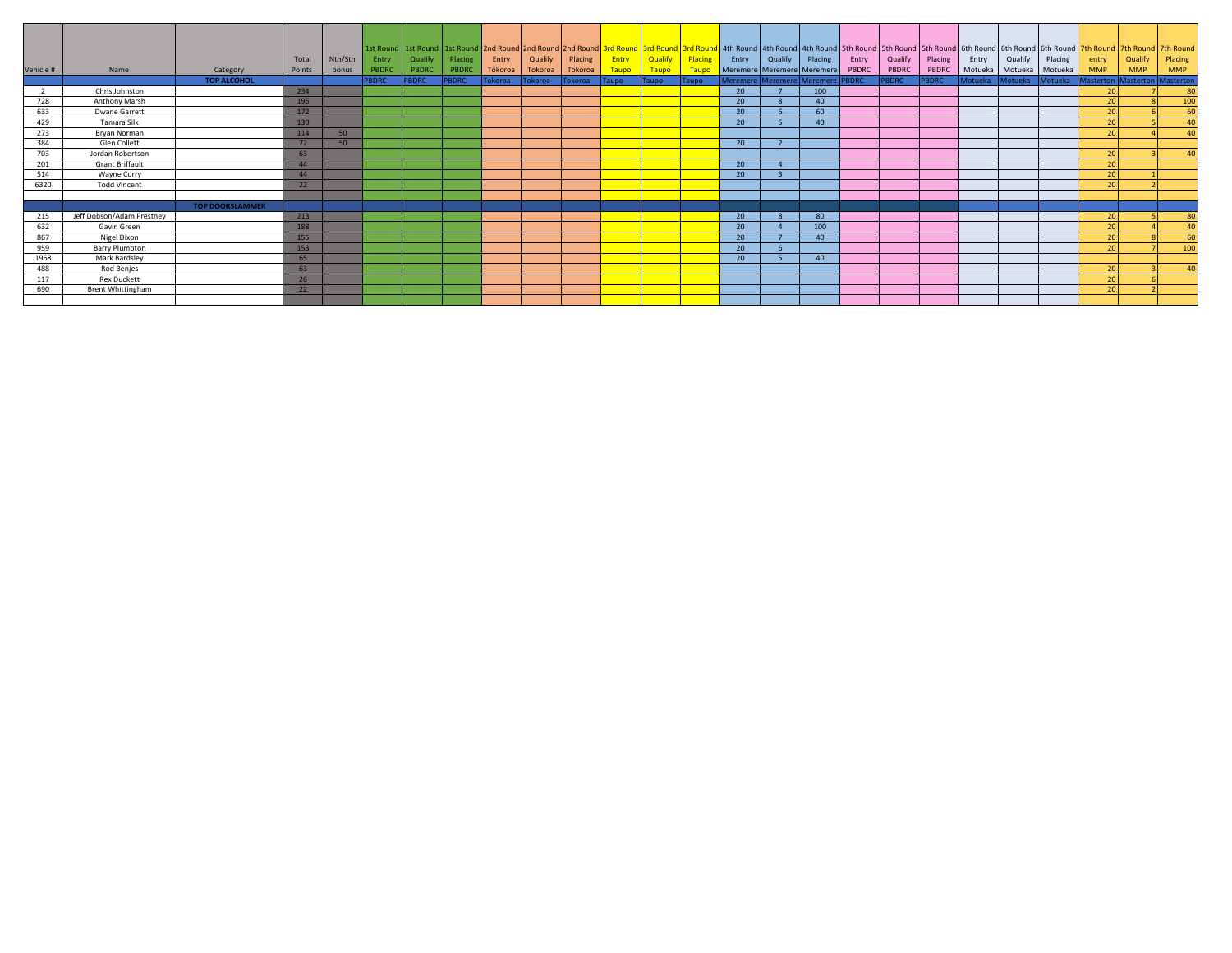|           |                           |                        |        |         |              |              |              |         |         |         |       |              |         |                 |                                  |                 |       |              |         |                |         |         | 1st Round   1st Round   1st Round   2nd Round   2nd Round   2nd Round   3rd Round   3rd Round   3rd Round   3rd Round   4th Round   4th Round   4th Round   4th Round   5th Round   5th Round   5th Round   6th Round   6th |            |                               |
|-----------|---------------------------|------------------------|--------|---------|--------------|--------------|--------------|---------|---------|---------|-------|--------------|---------|-----------------|----------------------------------|-----------------|-------|--------------|---------|----------------|---------|---------|-----------------------------------------------------------------------------------------------------------------------------------------------------------------------------------------------------------------------------|------------|-------------------------------|
|           |                           |                        | Total  | Nth/Sth | Entry        | Qualify      | Placing      | Entry   | Qualify | Placing | Entry | Qualify      | Placing | Entry           | Qualify                          | Placing         | Entry | Qualify      | Placing | Entry          | Qualify | Placing | entry                                                                                                                                                                                                                       | Qualify    | Placing                       |
| Vehicle # | Name                      | Category               | Points | bonus   | PBDRC        | PBDRC        | PBDRC        | Tokoroa | Tokoroa | Tokoroa | Taupo | Taupo        | Taupo   |                 | Meremere Meremere Meremere       |                 | PBDRC | PBDRC        | PBDRC   | Motueka        | Motueka | Motueka | <b>MMP</b>                                                                                                                                                                                                                  | <b>MMP</b> | <b>MMP</b>                    |
|           |                           | <b>TOP ALCOHOL</b>     |        |         | <b>PBDRC</b> | <b>PBDRC</b> | <b>PBDRC</b> | Tokoroa | Tokoroa | Tokoroa | Taupo | <b>Taupo</b> | Taupo   |                 | Meremere Meremere Meremere PBDRC |                 |       | <b>PBDRC</b> | PBDRC   | <b>Motueka</b> | Motueka | Motueka |                                                                                                                                                                                                                             |            | Masterton Masterton Masterton |
|           | Chris Johnston            |                        | 234    |         |              |              |              |         |         |         |       |              |         | 20              |                                  | 100             |       |              |         |                |         |         | 20                                                                                                                                                                                                                          |            | 80                            |
| 728       | Anthony Marsh             |                        | 196    |         |              |              |              |         |         |         |       |              |         | 20              |                                  | $40^{\circ}$    |       |              |         |                |         |         | 20                                                                                                                                                                                                                          |            | 100                           |
| 633       | Dwane Garrett             |                        | 172    |         |              |              |              |         |         |         |       |              |         | 20 <sup>°</sup> |                                  | 60              |       |              |         |                |         |         | 20                                                                                                                                                                                                                          |            | 60                            |
| 429       | Tamara Silk               |                        | 130    |         |              |              |              |         |         |         |       |              |         | 20              |                                  | 40              |       |              |         |                |         |         | 20                                                                                                                                                                                                                          |            | 40                            |
| 273       | Bryan Norman              |                        | 114    | 50      |              |              |              |         |         |         |       |              |         |                 |                                  |                 |       |              |         |                |         |         | 20 <sup>1</sup>                                                                                                                                                                                                             |            | 40                            |
| 384       | Glen Collett              |                        | 72     | 50      |              |              |              |         |         |         |       |              |         | 20              | $\mathbf{\cdot}$                 |                 |       |              |         |                |         |         |                                                                                                                                                                                                                             |            |                               |
| 703       | Jordan Robertson          |                        | 63     |         |              |              |              |         |         |         |       |              |         |                 |                                  |                 |       |              |         |                |         |         | <b>20</b>                                                                                                                                                                                                                   |            | 40                            |
| 201       | <b>Grant Briffault</b>    |                        | 44     |         |              |              |              |         |         |         |       |              |         | 20              |                                  |                 |       |              |         |                |         |         | 20                                                                                                                                                                                                                          |            |                               |
| 514       | Wayne Curry               |                        | 44     |         |              |              |              |         |         |         |       |              |         | 20              |                                  |                 |       |              |         |                |         |         | 20                                                                                                                                                                                                                          |            |                               |
| 6320      | <b>Todd Vincent</b>       |                        | 22     |         |              |              |              |         |         |         |       |              |         |                 |                                  |                 |       |              |         |                |         |         | 20 <sup>1</sup>                                                                                                                                                                                                             |            |                               |
|           |                           |                        |        |         |              |              |              |         |         |         |       |              |         |                 |                                  |                 |       |              |         |                |         |         |                                                                                                                                                                                                                             |            |                               |
|           |                           | <b>TOP DOORSLAMMER</b> |        |         |              |              |              |         |         |         |       |              |         |                 |                                  |                 |       |              |         |                |         |         |                                                                                                                                                                                                                             |            |                               |
| 215       | Jeff Dobson/Adam Prestney |                        | 213    |         |              |              |              |         |         |         |       |              |         | 20 <sup>°</sup> |                                  | 80              |       |              |         |                |         |         | 20                                                                                                                                                                                                                          |            | 80                            |
| 632       | Gavin Green               |                        | 188    |         |              |              |              |         |         |         |       |              |         | 20              |                                  | 100             |       |              |         |                |         |         | 20                                                                                                                                                                                                                          |            | 40                            |
| 867       | Nigel Dixon               |                        | 155    |         |              |              |              |         |         |         |       |              |         | 20              |                                  | 40              |       |              |         |                |         |         | 20                                                                                                                                                                                                                          |            | 60                            |
| 959       | Barry Plumpton            |                        | 153    |         |              |              |              |         |         |         |       |              |         | 20              | -6                               |                 |       |              |         |                |         |         | 20                                                                                                                                                                                                                          |            | 100                           |
| 1968      | Mark Bardsley             |                        | 65     |         |              |              |              |         |         |         |       |              |         | 20              |                                  | 40 <sup>°</sup> |       |              |         |                |         |         |                                                                                                                                                                                                                             |            |                               |
| 488       | Rod Benjes                |                        | 63     |         |              |              |              |         |         |         |       |              |         |                 |                                  |                 |       |              |         |                |         |         | <b>20</b>                                                                                                                                                                                                                   |            | 40 <sup>2</sup>               |
| 117       | <b>Rex Duckett</b>        |                        | 26     |         |              |              |              |         |         |         |       |              |         |                 |                                  |                 |       |              |         |                |         |         | 20                                                                                                                                                                                                                          |            |                               |
| 690       | <b>Brent Whittingham</b>  |                        | 22     |         |              |              |              |         |         |         |       |              |         |                 |                                  |                 |       |              |         |                |         |         | 20                                                                                                                                                                                                                          |            |                               |
|           |                           |                        |        |         |              |              |              |         |         |         |       |              |         |                 |                                  |                 |       |              |         |                |         |         |                                                                                                                                                                                                                             |            |                               |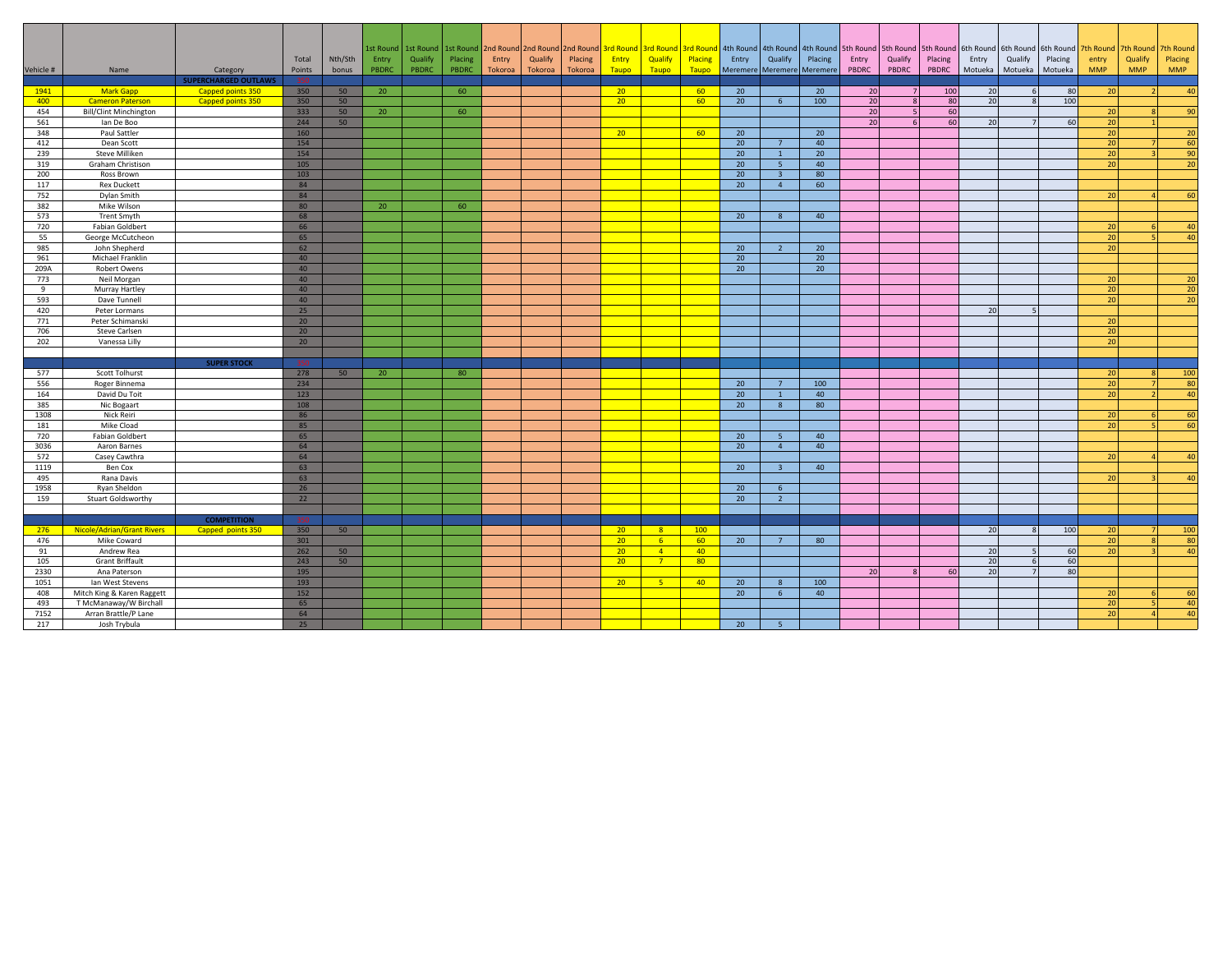| Vehicle # | Name                          | Category<br><b>SUPERCHARGED OUTLAWS</b> | Total<br>Points | Nth/Sth<br>bonus | Entry<br>PBDRC | 1st Round   1st Round   1st Round   2nd Round   2nd Round<br>Qualify<br>PBDRC | Placing<br>PBDRC | Entry<br>Tokoroa | Qualify<br>Tokoroa | Placing<br>Tokoroa | Entry<br><b>Taupo</b> | Qualify<br>Taupo | Placing<br><b>Taupo</b> | Entry           | Qualify<br>Meremere Meremere Meremere | Placing | 2nd Round 3rd Round 3rd Round 3rd Round 4th Round 4th Round 4th Round 5th Round 5th Round 5th Round 6th Round<br>Entry<br>PBDRC | Qualify<br>PBDRC         | Placing<br>PBDRC | Entry<br>Motueka | Qualify<br>Motueka | 6th Round 6th Round 7th Round<br>Placing<br>Motueka | entry<br><b>MMP</b> | 7th Round<br>Qualify<br><b>MMP</b> | 7th Round<br>Placing<br><b>MMP</b> |
|-----------|-------------------------------|-----------------------------------------|-----------------|------------------|----------------|-------------------------------------------------------------------------------|------------------|------------------|--------------------|--------------------|-----------------------|------------------|-------------------------|-----------------|---------------------------------------|---------|---------------------------------------------------------------------------------------------------------------------------------|--------------------------|------------------|------------------|--------------------|-----------------------------------------------------|---------------------|------------------------------------|------------------------------------|
| 1941      | <b>Mark Gapp</b>              | Capped points 350                       | 350             | 50               | 20             |                                                                               | 60               |                  |                    |                    | 20 <sup>2</sup>       |                  | 60                      | 20              |                                       | 20      | 20                                                                                                                              | 7                        | 100              | 20               | 6                  | 80                                                  | 20                  | 2 <sup>1</sup>                     | 40                                 |
| 400       | <b>Cameron Paterson</b>       | Capped points 350                       | 350             | 50               |                |                                                                               |                  |                  |                    |                    | 20 <sub>2</sub>       |                  | 60                      | 20              | 6 <sup>6</sup>                        | 100     | 20                                                                                                                              |                          | 80               | 20               |                    | 100                                                 |                     |                                    |                                    |
| 454       | <b>Bill/Clint Minchington</b> |                                         | 333             | 50               | 20             |                                                                               | 60               |                  |                    |                    |                       |                  |                         |                 |                                       |         | 20 <sup>1</sup>                                                                                                                 | $\overline{\phantom{a}}$ | 60               |                  |                    |                                                     | 20                  | $\mathbf{8}$                       | 90                                 |
| 561       | lan De Boo                    |                                         | 244             | 50               |                |                                                                               |                  |                  |                    |                    |                       |                  |                         |                 |                                       |         | 20                                                                                                                              | 6                        | <b>60</b>        | 20               |                    | 60                                                  | 20                  |                                    |                                    |
| 348       | Paul Sattler                  |                                         | 160             |                  |                |                                                                               |                  |                  |                    |                    | 20                    |                  | 60                      | 20              |                                       | 20      |                                                                                                                                 |                          |                  |                  |                    |                                                     | 20                  |                                    | 20                                 |
| 412       | Dean Scott                    |                                         | 154             |                  |                |                                                                               |                  |                  |                    |                    |                       |                  |                         | 20              | $\overline{7}$                        | 40      |                                                                                                                                 |                          |                  |                  |                    |                                                     | 20                  |                                    | 60                                 |
| 239       | <b>Steve Milliken</b>         |                                         | 154             |                  |                |                                                                               |                  |                  |                    |                    |                       |                  |                         | 20              | $\mathbf{1}$                          | 20      |                                                                                                                                 |                          |                  |                  |                    |                                                     | 20                  |                                    | 90                                 |
| 319       | Graham Christison             |                                         | 105             |                  |                |                                                                               |                  |                  |                    |                    |                       |                  |                         | 20 <sup>°</sup> | 5 <sup>5</sup>                        | 40      |                                                                                                                                 |                          |                  |                  |                    |                                                     | 20 <sup>1</sup>     |                                    | 20                                 |
| 200       | Ross Brown                    |                                         | 103             |                  |                |                                                                               |                  |                  |                    |                    |                       |                  |                         | 20              | $\overline{\mathbf{3}}$               | 80      |                                                                                                                                 |                          |                  |                  |                    |                                                     |                     |                                    |                                    |
| 117       | <b>Rex Duckett</b>            |                                         | 84              |                  |                |                                                                               |                  |                  |                    |                    |                       |                  |                         | 20 <sup>°</sup> | $\overline{4}$                        | 60      |                                                                                                                                 |                          |                  |                  |                    |                                                     |                     |                                    |                                    |
| 752       | Dylan Smith                   |                                         | 84              |                  |                |                                                                               |                  |                  |                    |                    |                       |                  |                         |                 |                                       |         |                                                                                                                                 |                          |                  |                  |                    |                                                     | 20                  | $\Delta$                           | 60                                 |
| 382       | Mike Wilson                   |                                         | 80              |                  | 20             |                                                                               | 60               |                  |                    |                    |                       |                  |                         |                 |                                       |         |                                                                                                                                 |                          |                  |                  |                    |                                                     |                     |                                    |                                    |
| 573       | <b>Trent Smyth</b>            |                                         | 68              |                  |                |                                                                               |                  |                  |                    |                    |                       |                  |                         | 20              | 8                                     | 40      |                                                                                                                                 |                          |                  |                  |                    |                                                     |                     |                                    |                                    |
| 720       | Fabian Goldbert               |                                         | 66              |                  |                |                                                                               |                  |                  |                    |                    |                       |                  |                         |                 |                                       |         |                                                                                                                                 |                          |                  |                  |                    |                                                     | 20                  | 6I                                 | 40                                 |
| 55        | George McCutcheon             |                                         | 65              |                  |                |                                                                               |                  |                  |                    |                    |                       |                  |                         |                 |                                       |         |                                                                                                                                 |                          |                  |                  |                    |                                                     | 20 <sup>1</sup>     | $\sqrt{2}$                         | 40                                 |
| 985       | John Shepherd                 |                                         | 62              |                  |                |                                                                               |                  |                  |                    |                    |                       |                  |                         | 20              | $\overline{2}$                        | 20      |                                                                                                                                 |                          |                  |                  |                    |                                                     | 20                  |                                    |                                    |
| 961       | Michael Franklin              |                                         | 40              |                  |                |                                                                               |                  |                  |                    |                    |                       |                  |                         | 20              |                                       | 20      |                                                                                                                                 |                          |                  |                  |                    |                                                     |                     |                                    |                                    |
| 209A      | Robert Owens                  |                                         | 40              |                  |                |                                                                               |                  |                  |                    |                    |                       |                  |                         | 20              |                                       | 20      |                                                                                                                                 |                          |                  |                  |                    |                                                     |                     |                                    |                                    |
| 773       | Neil Morgan                   |                                         | 40              |                  |                |                                                                               |                  |                  |                    |                    |                       |                  |                         |                 |                                       |         |                                                                                                                                 |                          |                  |                  |                    |                                                     | 20                  |                                    | 20                                 |
| 9         | Murray Hartley                |                                         | 40              |                  |                |                                                                               |                  |                  |                    |                    |                       |                  |                         |                 |                                       |         |                                                                                                                                 |                          |                  |                  |                    |                                                     | 20 <sup>1</sup>     |                                    | 20                                 |
| 593       | Dave Tunnell                  |                                         | 40              |                  |                |                                                                               |                  |                  |                    |                    |                       |                  |                         |                 |                                       |         |                                                                                                                                 |                          |                  |                  |                    |                                                     | 20                  |                                    | 20                                 |
| 420       | Peter Lormans                 |                                         | 25              |                  |                |                                                                               |                  |                  |                    |                    |                       |                  |                         |                 |                                       |         |                                                                                                                                 |                          |                  | 20               |                    |                                                     |                     |                                    |                                    |
| 771       | Peter Schimanski              |                                         | 20 <sup>°</sup> |                  |                |                                                                               |                  |                  |                    |                    |                       |                  |                         |                 |                                       |         |                                                                                                                                 |                          |                  |                  |                    |                                                     | 20                  |                                    |                                    |
| 706       | Steve Carlsen                 |                                         | 20              |                  |                |                                                                               |                  |                  |                    |                    |                       |                  |                         |                 |                                       |         |                                                                                                                                 |                          |                  |                  |                    |                                                     | 20                  |                                    |                                    |
| 202       | Vanessa Lilly                 |                                         | 20              |                  |                |                                                                               |                  |                  |                    |                    |                       |                  |                         |                 |                                       |         |                                                                                                                                 |                          |                  |                  |                    |                                                     | 20                  |                                    |                                    |
|           |                               |                                         | 350             |                  |                |                                                                               |                  |                  |                    |                    |                       |                  |                         |                 |                                       |         |                                                                                                                                 |                          |                  |                  |                    |                                                     |                     |                                    |                                    |
| 577       | Scott Tolhurst                | <b>SUPER STOCK</b>                      | 278             | 50               | 20             |                                                                               | 80               |                  |                    |                    |                       |                  |                         |                 |                                       |         |                                                                                                                                 |                          |                  |                  |                    |                                                     | 20 <sub>2</sub>     | $\mathbf{R}$                       | 100                                |
| 556       | Roger Binnema                 |                                         | 234             |                  |                |                                                                               |                  |                  |                    |                    |                       |                  |                         | 20              | $\overline{7}$                        | 100     |                                                                                                                                 |                          |                  |                  |                    |                                                     | 20 <sup>1</sup>     | 7 <sup>1</sup>                     | 80                                 |
| 164       | David Du Toit                 |                                         | 123             |                  |                |                                                                               |                  |                  |                    |                    |                       |                  |                         | 20              | $\mathbf{1}$                          | 40      |                                                                                                                                 |                          |                  |                  |                    |                                                     | 20 <sub>2</sub>     | $\overline{2}$                     | 40                                 |
| 385       | Nic Bogaart                   |                                         | 108             |                  |                |                                                                               |                  |                  |                    |                    |                       |                  |                         | 20              | 8                                     | 80      |                                                                                                                                 |                          |                  |                  |                    |                                                     |                     |                                    |                                    |
| 1308      | Nick Reiri                    |                                         | 86              |                  |                |                                                                               |                  |                  |                    |                    |                       |                  |                         |                 |                                       |         |                                                                                                                                 |                          |                  |                  |                    |                                                     | 20                  | 6                                  | 60                                 |
| 181       | Mike Cload                    |                                         | 85              |                  |                |                                                                               |                  |                  |                    |                    |                       |                  |                         |                 |                                       |         |                                                                                                                                 |                          |                  |                  |                    |                                                     | 20                  | 51                                 | 60                                 |
| 720       | <b>Fabian Goldbert</b>        |                                         | 65              |                  |                |                                                                               |                  |                  |                    |                    |                       |                  |                         | 20              | - 5                                   | 40      |                                                                                                                                 |                          |                  |                  |                    |                                                     |                     |                                    |                                    |
| 3036      | Aaron Barnes                  |                                         | 64              |                  |                |                                                                               |                  |                  |                    |                    |                       |                  |                         | 20              | $\overline{4}$                        | 40      |                                                                                                                                 |                          |                  |                  |                    |                                                     |                     |                                    |                                    |
| 572       | Casey Cawthra                 |                                         | 64              |                  |                |                                                                               |                  |                  |                    |                    |                       |                  |                         |                 |                                       |         |                                                                                                                                 |                          |                  |                  |                    |                                                     | 20                  |                                    | 40                                 |
| 1119      | Ben Cox                       |                                         | 63              |                  |                |                                                                               |                  |                  |                    |                    |                       |                  |                         | 20              | $\overline{\mathbf{3}}$               | 40      |                                                                                                                                 |                          |                  |                  |                    |                                                     |                     |                                    |                                    |
| 495       | Rana Davis                    |                                         | 63              |                  |                |                                                                               |                  |                  |                    |                    |                       |                  |                         |                 |                                       |         |                                                                                                                                 |                          |                  |                  |                    |                                                     | 20                  |                                    | 40                                 |
| 1958      | Ryan Sheldon                  |                                         | 26              |                  |                |                                                                               |                  |                  |                    |                    |                       |                  |                         | 20              | 6                                     |         |                                                                                                                                 |                          |                  |                  |                    |                                                     |                     |                                    |                                    |
| 159       | Stuart Goldsworthy            |                                         | 22              |                  |                |                                                                               |                  |                  |                    |                    |                       |                  |                         | 20 <sup>°</sup> | $\overline{2}$                        |         |                                                                                                                                 |                          |                  |                  |                    |                                                     |                     |                                    |                                    |
|           |                               |                                         |                 |                  |                |                                                                               |                  |                  |                    |                    |                       |                  |                         |                 |                                       |         |                                                                                                                                 |                          |                  |                  |                    |                                                     |                     |                                    |                                    |
|           |                               | <b>COMPETITION</b>                      | 350             |                  |                |                                                                               |                  |                  |                    |                    |                       |                  |                         |                 |                                       |         |                                                                                                                                 |                          |                  |                  |                    |                                                     |                     |                                    |                                    |
| 276       | Nicole/Adrian/Grant Rivers    | Capped points 350                       | 350             | 50               |                |                                                                               |                  |                  |                    |                    | 20 <sup>2</sup>       | 8 <sup>2</sup>   | 100                     |                 |                                       |         |                                                                                                                                 |                          |                  | 20               | $\mathbf{R}$       | 100                                                 | 20                  | 7 <sup>1</sup>                     | 100                                |
| 476       | Mike Coward                   |                                         | 301             |                  |                |                                                                               |                  |                  |                    |                    | 20 <sup>2</sup>       | 6 <sup>1</sup>   | 60                      | 20              | $7^{\circ}$                           | 80      |                                                                                                                                 |                          |                  |                  |                    |                                                     | 20                  | $\mathbf{8}$                       | 80                                 |
| 91        | Andrew Rea                    |                                         | 262             | 50               |                |                                                                               |                  |                  |                    |                    | 20                    | $\overline{4}$   | 40                      |                 |                                       |         |                                                                                                                                 |                          |                  | 20               |                    | 60                                                  | 20                  |                                    | 40                                 |
| 105       | <b>Grant Briffault</b>        |                                         | 243             | 50               |                |                                                                               |                  |                  |                    |                    | 20                    | 7 <sup>7</sup>   | 80 <sup>°</sup>         |                 |                                       |         |                                                                                                                                 |                          |                  | 20               | 6                  | 60                                                  |                     |                                    |                                    |
| 2330      | Ana Paterson                  |                                         | 195             |                  |                |                                                                               |                  |                  |                    |                    |                       |                  |                         |                 |                                       |         | 20                                                                                                                              |                          | <b>60</b>        | 20               |                    | 80                                                  |                     |                                    |                                    |
| 1051      | lan West Stevens              |                                         | 193             |                  |                |                                                                               |                  |                  |                    |                    | 20                    | 5 <sup>°</sup>   | 40                      | 20              | 8                                     | 100     |                                                                                                                                 |                          |                  |                  |                    |                                                     |                     |                                    |                                    |
| 408       | Mitch King & Karen Raggett    |                                         | 152             |                  |                |                                                                               |                  |                  |                    |                    |                       |                  |                         | 20 <sup>°</sup> | 6 <sup>5</sup>                        | 40      |                                                                                                                                 |                          |                  |                  |                    |                                                     | 20 <sub>2</sub>     | 6I                                 | 60                                 |
| 493       | T McManaway/W Birchall        |                                         | 65              |                  |                |                                                                               |                  |                  |                    |                    |                       |                  |                         |                 |                                       |         |                                                                                                                                 |                          |                  |                  |                    |                                                     | 20 <sup>1</sup>     | 51                                 | 40                                 |
| 7152      | Arran Brattle/P Lane          |                                         | 64              |                  |                |                                                                               |                  |                  |                    |                    |                       |                  |                         |                 |                                       |         |                                                                                                                                 |                          |                  |                  |                    |                                                     | 20 <sup>1</sup>     |                                    | 40                                 |
| 217       | Josh Trybula                  |                                         | 25              |                  |                |                                                                               |                  |                  |                    |                    |                       |                  |                         | 20 <sup>°</sup> | 5                                     |         |                                                                                                                                 |                          |                  |                  |                    |                                                     |                     |                                    |                                    |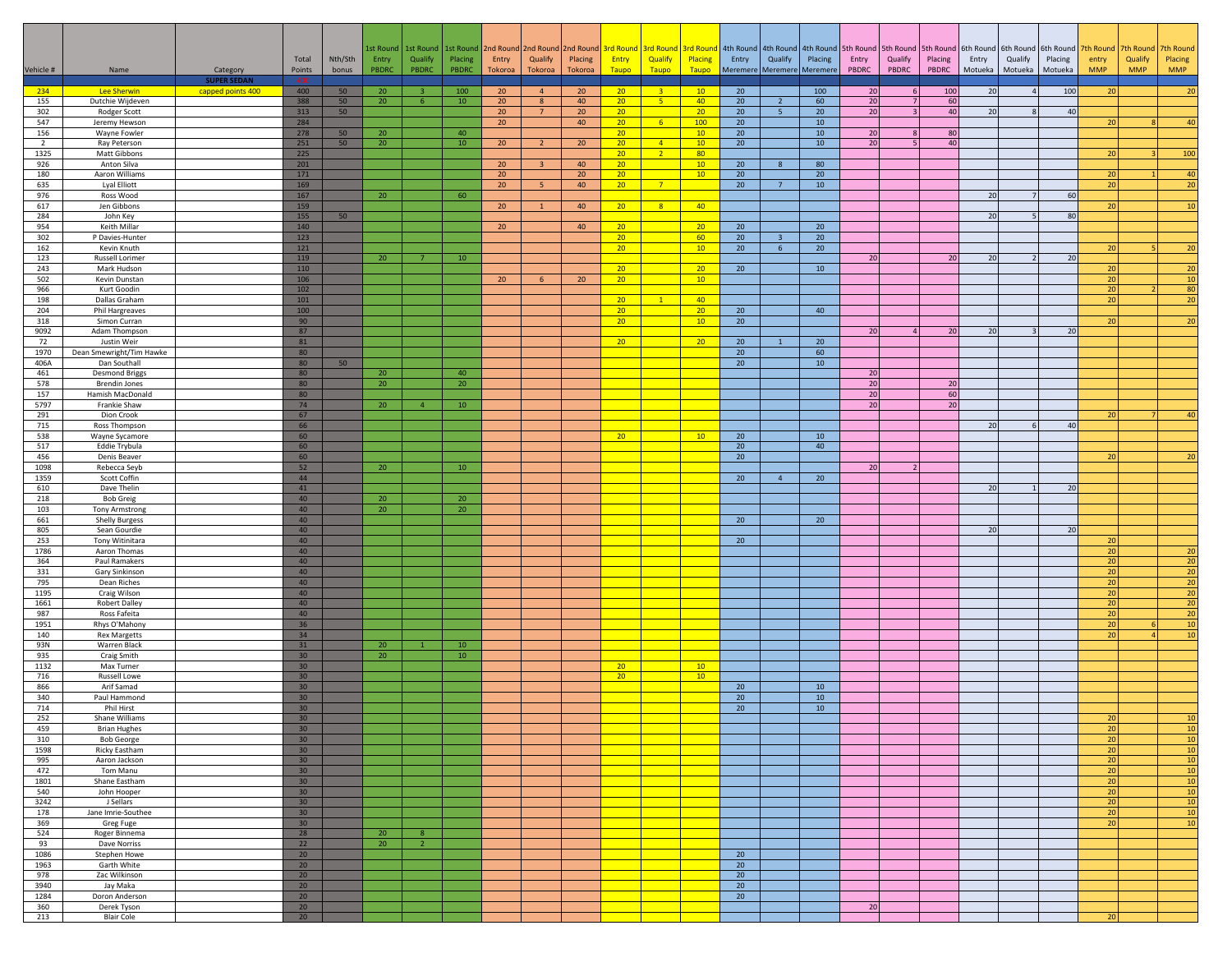|                |                                           |                                |                                    |          |                 |                         | 1st Round   1st Round   1st Round   2nd Round   2nd Round |                 |                         |                       | 2nd Round 3rd Round                |                | 3rd Round 3rd Round   |                       |                                  |                 |                           | 4th Round 4th Round 4th Round 5th Round 5th Round 5th Round |          |         |                          | 6th Round 6th Round 6th Round | 7th Round       | 7th Round  | 7th Round             |
|----------------|-------------------------------------------|--------------------------------|------------------------------------|----------|-----------------|-------------------------|-----------------------------------------------------------|-----------------|-------------------------|-----------------------|------------------------------------|----------------|-----------------------|-----------------------|----------------------------------|-----------------|---------------------------|-------------------------------------------------------------|----------|---------|--------------------------|-------------------------------|-----------------|------------|-----------------------|
|                |                                           |                                | Total                              | Nth/Sth  | Entry           | Qualify                 | Placing                                                   | Entry           | Qualify                 | Placing               | Entry                              | Qualify        | Placing               | Entry                 | Qualify                          | Placing         | Entry                     | Qualify                                                     | Placing  | Entry   | Qualify                  | Placing                       | entry           | Qualify    | Placing               |
| Vehicle #      | Name                                      | Category<br><b>SUPER SEDAN</b> | Points                             | bonus    | PBDRC           | PBDRC                   | <b>PBDRC</b>                                              | <b>Tokoroa</b>  | Tokoroa                 | Tokoroa               | <b>Taupo</b>                       | Taupo          | Taupo                 |                       | Meremere Meremere Meremere       |                 | PBDRC                     | PBDRC                                                       | PBDRC    | Motueka | Motueka                  | Motueka                       | <b>MMP</b>      | <b>MMP</b> | <b>MMP</b>            |
| 234            | Lee Sherwin                               | capped points 400              | 400                                | 50       | 20              | $\overline{\mathbf{3}}$ | 100                                                       | 20 <sub>2</sub> | 4                       | 20 <sup>°</sup>       | $20 -$                             | 3 <sup>2</sup> | 10                    | 20                    |                                  | 100             | 20 <sub>1</sub>           | $6 \mid$                                                    | 100      | 20      | $\overline{4}$           | 100                           | 20              |            | 20                    |
| 155<br>302     | Dutchie Wijdeven                          |                                | 388<br>313                         | 50<br>50 | 20              | 6                       | $10\,$                                                    | 20<br>$20\,$    | 8<br>$7^{\circ}$        | 40<br>20 <sub>2</sub> | 20 <sub>2</sub><br>20 <sup>°</sup> | 5 <sup>1</sup> | 40<br>20 <sub>2</sub> | 20<br>20 <sup>°</sup> | $\overline{2}$<br>5 <sup>7</sup> | 60<br>20        | $20\,$<br>20 <sup>1</sup> | $\overline{7}$                                              | 60<br>40 | 20      |                          | 40                            |                 |            |                       |
| 547            | Rodger Scott<br>Jeremy Hewson             |                                | 284                                |          |                 |                         |                                                           | 20              |                         | 40                    | 20 <sub>2</sub>                    | 6 <sup>1</sup> | 100                   | 20                    |                                  | 10              |                           |                                                             |          |         |                          |                               | 20 <sup>1</sup> |            | 40                    |
| 156            | Wayne Fowler                              |                                | 278                                | 50       | 20              |                         | 40                                                        |                 |                         |                       | $20-1$                             |                | 10 <sup>°</sup>       | 20                    |                                  | 10              | 20                        | 8                                                           | 80       |         |                          |                               |                 |            |                       |
| $\overline{2}$ | Ray Peterson                              |                                | 251                                | 50       | 20              |                         | 10                                                        | 20              | $\overline{2}$          | 20                    | 20 <sub>2</sub>                    | $-4$           | 10 <sup>°</sup>       | 20                    |                                  | 10              | 20 <sup>1</sup>           | 5 <sub>1</sub>                                              | 40       |         |                          |                               |                 |            |                       |
| 1325<br>926    | Matt Gibbons<br>Anton Silva               |                                | 225<br>201                         |          |                 |                         |                                                           | 20 <sub>2</sub> | $\overline{\mathbf{3}}$ | 40                    | $20-1$<br>$20-1$                   | 2 <sup>7</sup> | 80<br>10 <sup>°</sup> | 20                    | 8                                | 80              |                           |                                                             |          |         |                          |                               | 20              | 3.         | 100                   |
| 180            | Aaron Williams                            |                                | 171                                |          |                 |                         |                                                           | 20 <sub>2</sub> |                         | 20 <sub>2</sub>       | 20 <sub>2</sub>                    |                | 10 <sub>1</sub>       | 20                    |                                  | 20 <sup>°</sup> |                           |                                                             |          |         |                          |                               | 20              |            | 40                    |
| 635            | Lyal Elliott                              |                                | 169                                |          |                 |                         |                                                           | 20              | 5 <sup>°</sup>          | 40                    | 20 <sub>2</sub>                    | $\overline{7}$ |                       | 20                    | 7 <sup>7</sup>                   | 10              |                           |                                                             |          |         |                          |                               | 20 <sup>1</sup> |            | 20                    |
| 976            | Ross Wood                                 |                                | 167                                |          | 20              |                         | 60                                                        |                 |                         |                       |                                    |                |                       |                       |                                  |                 |                           |                                                             |          | 20      | $\overline{7}$           | 60                            |                 |            |                       |
| 617<br>284     | Jen Gibbons<br>John Key                   |                                | 159<br>155                         | 50       |                 |                         |                                                           | 20 <sup>°</sup> |                         | 40                    | 20 <sub>2</sub>                    | 8              | 40                    |                       |                                  |                 |                           |                                                             |          | 20      | $\overline{5}$           | 80                            | 20              |            | 10                    |
| 954            | Keith Millar                              |                                | 140                                |          |                 |                         |                                                           | 20              |                         | 40                    | $20-1$                             |                | 20 <sup>2</sup>       | 20                    |                                  | 20              |                           |                                                             |          |         |                          |                               |                 |            |                       |
| 302            | P Davies-Hunter                           |                                | 123                                |          |                 |                         |                                                           |                 |                         |                       | 20 <sub>2</sub>                    |                | 60                    | 20 <sub>2</sub>       | $\overline{\mathbf{3}}$          | $20\degree$     |                           |                                                             |          |         |                          |                               |                 |            |                       |
| 162<br>123     | Kevin Knuth<br>Russell Lorimer            |                                | 121<br>119                         |          | 20 <sub>2</sub> | 7                       | 10                                                        |                 |                         |                       | 20 <sub>2</sub>                    |                | 10 <sup>°</sup>       | 20                    | 6 <sup>6</sup>                   | 20              | $20\,$                    |                                                             | 20       | 20      | $\overline{\phantom{0}}$ | 20                            | 20              | 5          | 20                    |
| 243            | Mark Hudson                               |                                | 110                                |          |                 |                         |                                                           |                 |                         |                       | 20 <sub>2</sub>                    |                | 20 <sub>2</sub>       | 20                    |                                  | 10              |                           |                                                             |          |         |                          |                               | 20              |            | 20                    |
| 502            | Kevin Dunstan                             |                                | 106                                |          |                 |                         |                                                           | 20              | 6 <sup>6</sup>          | 20                    | 20 <sub>2</sub>                    |                | 10 <sup>°</sup>       |                       |                                  |                 |                           |                                                             |          |         |                          |                               | 20              |            | 10                    |
| 966            | Kurt Goodin                               |                                | 102                                |          |                 |                         |                                                           |                 |                         |                       |                                    |                |                       |                       |                                  |                 |                           |                                                             |          |         |                          |                               | 20              |            | 80                    |
| 198<br>204     | Dallas Graham<br>Phil Hargreaves          |                                | 101<br>100                         |          |                 |                         |                                                           |                 |                         |                       | 20 <sub>2</sub><br>20 <sub>2</sub> | $\mathbf{1}$   | 40<br>20 <sub>2</sub> | 20                    |                                  | 40              |                           |                                                             |          |         |                          |                               | 20              |            | 20                    |
| 318            | Simon Curran                              |                                | 90                                 |          |                 |                         |                                                           |                 |                         |                       | 20 <sub>2</sub>                    |                | 10 <sup>°</sup>       | 20                    |                                  |                 |                           |                                                             |          |         |                          |                               | 20              |            | 20                    |
| 9092           | Adam Thompson                             |                                | 87                                 |          |                 |                         |                                                           |                 |                         |                       |                                    |                |                       |                       |                                  |                 | 20                        |                                                             | 20       | 20      |                          | 20                            |                 |            |                       |
| 72             | Justin Weir                               |                                | 81                                 |          |                 |                         |                                                           |                 |                         |                       | 20 <sub>2</sub>                    |                | 20 <sub>2</sub>       | 20                    |                                  | 20 <sup>°</sup> |                           |                                                             |          |         |                          |                               |                 |            |                       |
| 1970<br>406A   | Dean Smewright/Tim Hawke<br>Dan Southall  |                                | 80<br>80                           | 50       |                 |                         |                                                           |                 |                         |                       |                                    |                |                       | 20<br>20              |                                  | 60<br>10        |                           |                                                             |          |         |                          |                               |                 |            |                       |
| 461            | <b>Desmond Briggs</b>                     |                                | 80                                 |          | 20              |                         | 40                                                        |                 |                         |                       |                                    |                |                       |                       |                                  |                 | $20\,$                    |                                                             |          |         |                          |                               |                 |            |                       |
| 578            | <b>Brendin Jones</b>                      |                                | 80                                 |          | 20              |                         | $20\,$                                                    |                 |                         |                       |                                    |                |                       |                       |                                  |                 | 20                        |                                                             | $20\,$   |         |                          |                               |                 |            |                       |
| 157            | Hamish MacDonald                          |                                | 80                                 |          |                 |                         |                                                           |                 |                         |                       |                                    |                |                       |                       |                                  |                 | 20                        |                                                             | 60       |         |                          |                               |                 |            |                       |
| 5797<br>291    | Frankie Shaw<br>Dion Crook                |                                | 74<br>67                           |          | 20              | $\overline{4}$          | 10                                                        |                 |                         |                       |                                    |                |                       |                       |                                  |                 | 20                        |                                                             | 20       |         |                          |                               | 20              |            | 40                    |
| 715            | Ross Thompson                             |                                | 66                                 |          |                 |                         |                                                           |                 |                         |                       |                                    |                |                       |                       |                                  |                 |                           |                                                             |          | 20      | 6                        | 40                            |                 |            |                       |
| 538            | Wayne Sycamore                            |                                | 60                                 |          |                 |                         |                                                           |                 |                         |                       | 20 <sub>2</sub>                    |                | $10-10$               | 20                    |                                  | 10              |                           |                                                             |          |         |                          |                               |                 |            |                       |
| 517<br>456     | Eddie Trybula<br>Denis Beaver             |                                | 60<br>60                           |          |                 |                         |                                                           |                 |                         |                       |                                    |                |                       | 20<br>20              |                                  | 40              |                           |                                                             |          |         |                          |                               | 20              |            | 2C                    |
| 1098           | Rebecca Seyb                              |                                | 52                                 |          | 20              |                         | 10                                                        |                 |                         |                       |                                    |                |                       |                       |                                  |                 | 20                        |                                                             |          |         |                          |                               |                 |            |                       |
| 1359           | Scott Coffin                              |                                | 44                                 |          |                 |                         |                                                           |                 |                         |                       |                                    |                |                       | 20                    | $\overline{4}$                   | 20              |                           |                                                             |          |         |                          |                               |                 |            |                       |
| 610            | Dave Thelin                               |                                | 41                                 |          |                 |                         |                                                           |                 |                         |                       |                                    |                |                       |                       |                                  |                 |                           |                                                             |          | 20      |                          | 20 <sup>1</sup>               |                 |            |                       |
| 218<br>103     | <b>Bob Greig</b><br><b>Tony Armstrong</b> |                                | 40<br>40                           |          | 20<br>20        |                         | $20\,$<br>20                                              |                 |                         |                       |                                    |                |                       |                       |                                  |                 |                           |                                                             |          |         |                          |                               |                 |            |                       |
| 661            | <b>Shelly Burgess</b>                     |                                | 40                                 |          |                 |                         |                                                           |                 |                         |                       |                                    |                |                       | 20                    |                                  | 20              |                           |                                                             |          |         |                          |                               |                 |            |                       |
| 805            | Sean Gourdie                              |                                | 40                                 |          |                 |                         |                                                           |                 |                         |                       |                                    |                |                       |                       |                                  |                 |                           |                                                             |          | 20      |                          | 20                            |                 |            |                       |
| 253<br>1786    | Tony Witinitara<br>Aaron Thomas           |                                | 40<br>40                           |          |                 |                         |                                                           |                 |                         |                       |                                    |                |                       | 20                    |                                  |                 |                           |                                                             |          |         |                          |                               | 20<br>20        |            | 20                    |
| 364            | Paul Ramakers                             |                                | 40                                 |          |                 |                         |                                                           |                 |                         |                       |                                    |                |                       |                       |                                  |                 |                           |                                                             |          |         |                          |                               | 20              |            | $\overline{20}$       |
| 331            | Gary Sinkinson                            |                                | 40                                 |          |                 |                         |                                                           |                 |                         |                       |                                    |                |                       |                       |                                  |                 |                           |                                                             |          |         |                          |                               | 20              |            | $\overline{20}$       |
| 795            | Dean Riches                               |                                | 40<br>40                           |          |                 |                         |                                                           |                 |                         |                       |                                    |                |                       |                       |                                  |                 |                           |                                                             |          |         |                          |                               | 20<br>20        |            | 20<br>$\overline{20}$ |
| 1195<br>1661   | Craig Wilson<br><b>Robert Dalley</b>      |                                | 40                                 |          |                 |                         |                                                           |                 |                         |                       |                                    |                |                       |                       |                                  |                 |                           |                                                             |          |         |                          |                               | 20              |            | 20                    |
| 987            | Ross Fafeita                              |                                | 40                                 |          |                 |                         |                                                           |                 |                         |                       |                                    |                |                       |                       |                                  |                 |                           |                                                             |          |         |                          |                               | 20              |            | 20                    |
| 1951           | Rhys O'Mahony                             |                                | 36                                 |          |                 |                         |                                                           |                 |                         |                       |                                    |                |                       |                       |                                  |                 |                           |                                                             |          |         |                          |                               | 20              |            | 10                    |
| 140<br>93N     | <b>Rex Margetts</b>                       |                                | 34<br>31                           |          |                 | $\mathbf{1}$            | $10\,$                                                    |                 |                         |                       |                                    |                |                       |                       |                                  |                 |                           |                                                             |          |         |                          |                               | 20 <sup>1</sup> |            | 10                    |
| 935            | Warren Black<br>Craig Smith               |                                | 30 <sub>2</sub>                    |          | 20<br>20        |                         | 10                                                        |                 |                         |                       |                                    |                |                       |                       |                                  |                 |                           |                                                             |          |         |                          |                               |                 |            |                       |
| 1132           | Max Turner                                |                                | 30 <sup>°</sup>                    |          |                 |                         |                                                           |                 |                         |                       | $20-1$                             |                | 10 <sup>°</sup>       |                       |                                  |                 |                           |                                                             |          |         |                          |                               |                 |            |                       |
| 716            | Russell Lowe                              |                                | 30 <sup>°</sup>                    |          |                 |                         |                                                           |                 |                         |                       | 20 <sub>2</sub>                    |                | 10                    |                       |                                  |                 |                           |                                                             |          |         |                          |                               |                 |            |                       |
| 866<br>340     | Arif Samad<br>Paul Hammond                |                                | 30 <sup>°</sup><br>30 <sup>°</sup> |          |                 |                         |                                                           |                 |                         |                       |                                    |                |                       | 20<br>20              |                                  | 10<br>10        |                           |                                                             |          |         |                          |                               |                 |            |                       |
| 714            | Phil Hirst                                |                                | 30 <sup>°</sup>                    |          |                 |                         |                                                           |                 |                         |                       |                                    |                |                       | 20 <sub>2</sub>       |                                  | 10              |                           |                                                             |          |         |                          |                               |                 |            |                       |
| 252            | Shane Williams                            |                                | 30                                 |          |                 |                         |                                                           |                 |                         |                       |                                    |                |                       |                       |                                  |                 |                           |                                                             |          |         |                          |                               | 2U              |            |                       |
| 459<br>310     | <b>Brian Hughes</b><br><b>Bob George</b>  |                                | 30 <sup>°</sup><br>30 <sup>°</sup> |          |                 |                         |                                                           |                 |                         |                       |                                    |                |                       |                       |                                  |                 |                           |                                                             |          |         |                          |                               | 20<br>20        |            | 10<br>10              |
| 1598           | Ricky Eastham                             |                                | 30 <sup>2</sup>                    |          |                 |                         |                                                           |                 |                         |                       |                                    |                |                       |                       |                                  |                 |                           |                                                             |          |         |                          |                               | 20 <sup>1</sup> |            | 10                    |
| 995            | Aaron Jackson                             |                                | 30 <sub>2</sub>                    |          |                 |                         |                                                           |                 |                         |                       |                                    |                |                       |                       |                                  |                 |                           |                                                             |          |         |                          |                               | 20              |            | 10                    |
| 472            | Tom Manu                                  |                                | 30 <sup>°</sup>                    |          |                 |                         |                                                           |                 |                         |                       |                                    |                |                       |                       |                                  |                 |                           |                                                             |          |         |                          |                               | 20              |            | 10                    |
| 1801<br>540    | Shane Eastham<br>John Hooper              |                                | 30 <sup>°</sup><br>30 <sup>°</sup> |          |                 |                         |                                                           |                 |                         |                       |                                    |                |                       |                       |                                  |                 |                           |                                                             |          |         |                          |                               | 20<br>20        |            | 10<br>10              |
| 3242           | J Sellars                                 |                                | 30 <sub>2</sub>                    |          |                 |                         |                                                           |                 |                         |                       |                                    |                |                       |                       |                                  |                 |                           |                                                             |          |         |                          |                               | 20              |            | 10                    |
| 178            | Jane Imrie-Southee                        |                                | 30 <sup>°</sup>                    |          |                 |                         |                                                           |                 |                         |                       |                                    |                |                       |                       |                                  |                 |                           |                                                             |          |         |                          |                               | 20              |            | 10                    |
| 369            | Greg Fuge<br>Roger Binnema                |                                | 30 <sub>2</sub>                    |          |                 |                         |                                                           |                 |                         |                       |                                    |                |                       |                       |                                  |                 |                           |                                                             |          |         |                          |                               | 20              |            | 10                    |
| 524<br>93      | Dave Norriss                              |                                | 28<br>22                           |          | 20<br>20        | 8<br>$\overline{2}$     |                                                           |                 |                         |                       |                                    |                |                       |                       |                                  |                 |                           |                                                             |          |         |                          |                               |                 |            |                       |
| 1086           | Stephen Howe                              |                                | 20                                 |          |                 |                         |                                                           |                 |                         |                       |                                    |                |                       | 20                    |                                  |                 |                           |                                                             |          |         |                          |                               |                 |            |                       |
| 1963           | Garth White                               |                                | 20 <sub>2</sub>                    |          |                 |                         |                                                           |                 |                         |                       |                                    |                |                       | 20                    |                                  |                 |                           |                                                             |          |         |                          |                               |                 |            |                       |
| 978<br>3940    | Zac Wilkinson<br>Jay Maka                 |                                | 20 <sup>°</sup><br>20              |          |                 |                         |                                                           |                 |                         |                       |                                    |                |                       | 20<br>20              |                                  |                 |                           |                                                             |          |         |                          |                               |                 |            |                       |
| 1284           | Doron Anderson                            |                                | 20                                 |          |                 |                         |                                                           |                 |                         |                       |                                    |                |                       | 20                    |                                  |                 |                           |                                                             |          |         |                          |                               |                 |            |                       |
| 360            | Derek Tyson                               |                                | 20 <sup>°</sup>                    |          |                 |                         |                                                           |                 |                         |                       |                                    |                |                       |                       |                                  |                 | 20 <sup>1</sup>           |                                                             |          |         |                          |                               |                 |            |                       |
| 213            | <b>Blair Cole</b>                         |                                | 20                                 |          |                 |                         |                                                           |                 |                         |                       |                                    |                |                       |                       |                                  |                 |                           |                                                             |          |         |                          |                               | 20              |            |                       |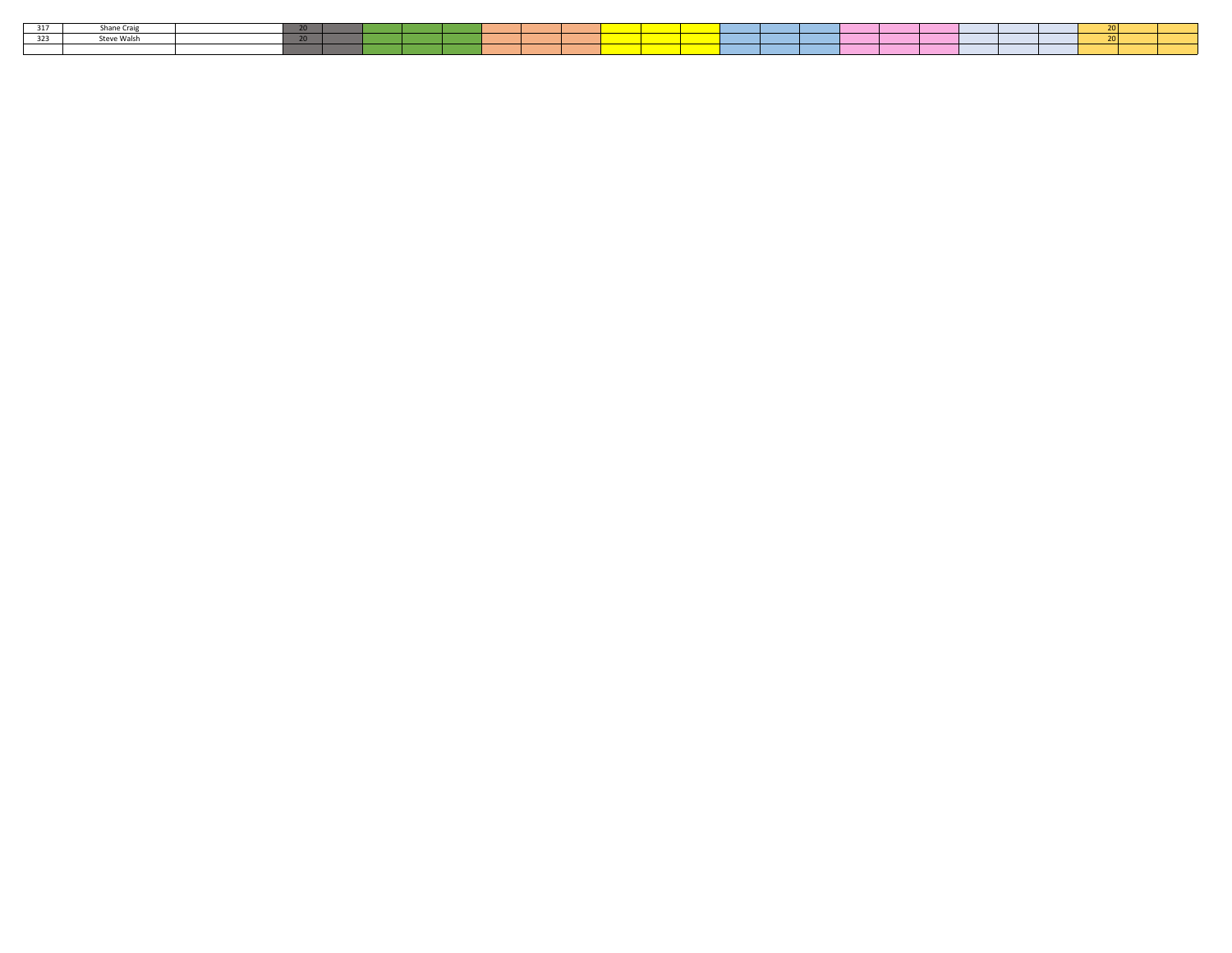| 317          | Shane<br>onane c                       | --- |  |  |  |                                                                                                                       | <b>Contract Contract Contract Contract Contract Contract Contract Contract Contract Contract Contract Contract Co</b><br>and the state of the state of the state of the state of the state of the state of the state of the state of th |                                                                                                                       |  |  |  |  |  |
|--------------|----------------------------------------|-----|--|--|--|-----------------------------------------------------------------------------------------------------------------------|-----------------------------------------------------------------------------------------------------------------------------------------------------------------------------------------------------------------------------------------|-----------------------------------------------------------------------------------------------------------------------|--|--|--|--|--|
| - 3 2 3<br>ິ | .<br>$P + - - -$<br><b>SLEVE WAISH</b> | .   |  |  |  | <b>Contract Contract Contract Contract Contract Contract Contract Contract Contract Contract Contract Contract Co</b> | and the state of the state of the state of the state of the state of the state of the state of the state of th                                                                                                                          | <b>Service Service</b>                                                                                                |  |  |  |  |  |
|              |                                        |     |  |  |  |                                                                                                                       | $\mathcal{L}(\mathcal{L})$ and $\mathcal{L}(\mathcal{L})$ and $\mathcal{L}(\mathcal{L})$ and $\mathcal{L}(\mathcal{L})$ and $\mathcal{L}(\mathcal{L})$                                                                                  | <b>Contract Contract Contract Contract Contract Contract Contract Contract Contract Contract Contract Contract Co</b> |  |  |  |  |  |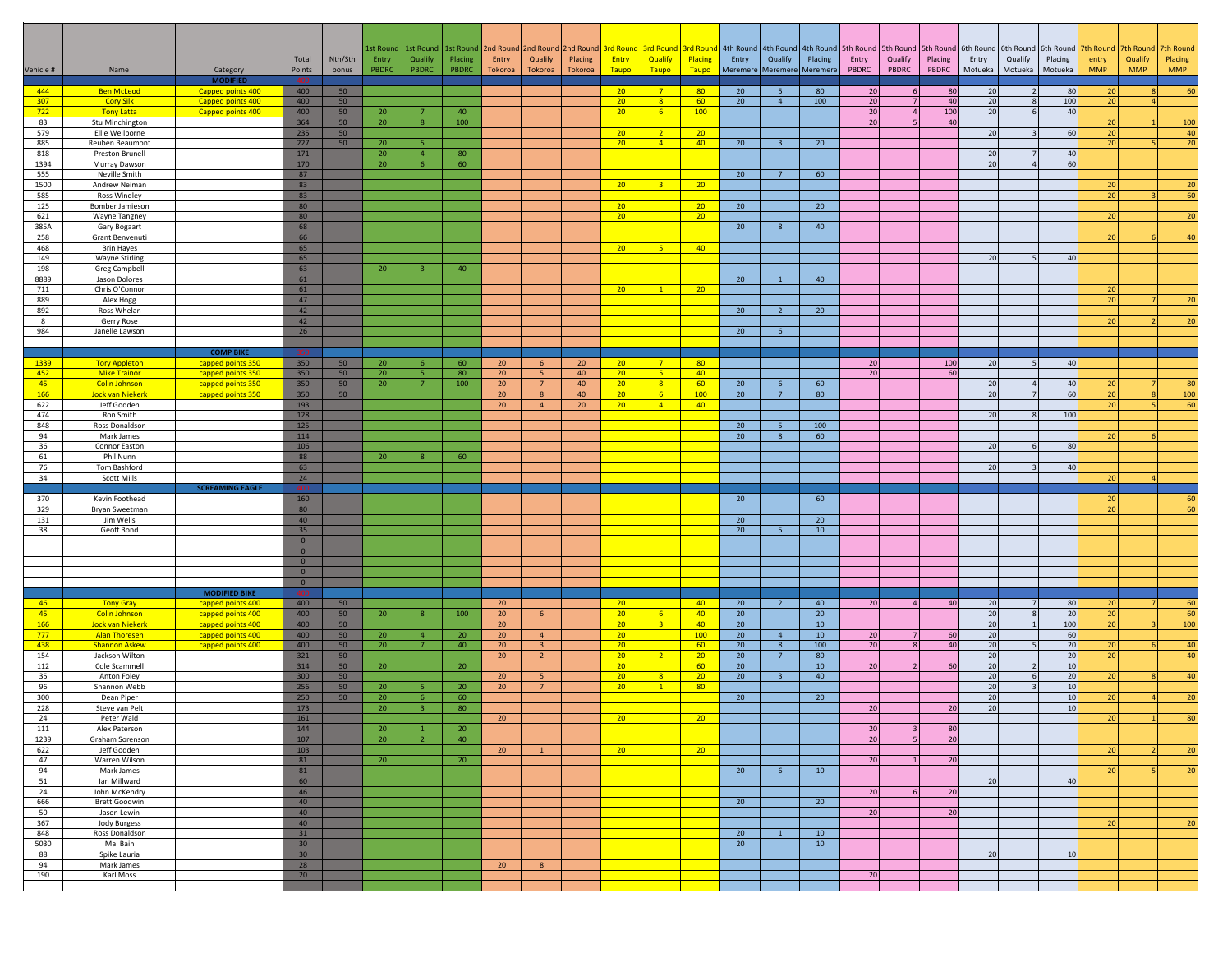| Vehicle #   | Name                                            | Category<br><b>MODIFIED</b>               | Total<br>Points                | Nth/Sth<br>bonus | 1st Round<br>Entry<br>PBDRC | Qualify<br>PBDRC               | 1st Round   1st Round<br>Placing<br>PBDRC | 2nd Round 2nd Round<br>Entry<br>Tokoroa | Qualify<br>Tokoroa | Placing<br>Tokoroa | <b>Entry</b><br>Taupo              | Qualify<br>Taupo        | 2nd Round 3rd Round 3rd Round 3rd Round<br>Placing<br>Taupo | Entry           | Qualify<br>Meremere Meremere Meremere | Placing      | Entry<br>PBDRC        | 4th Round 4th Round 4th Round 5th Round 5th Round 5th Round<br>Qualify<br>PBDRC | Placing<br>PBDRC      | 6th Round<br>Entry<br>Motueka | 6th Round<br>Qualify<br>Motueka | 6th Round<br>Placing<br>Motueka | th Round<br>entry<br><b>MMP</b> | 7th Round<br>Qualify<br><b>MMP</b> | 7th Round<br>Placing<br><b>MMP</b> |
|-------------|-------------------------------------------------|-------------------------------------------|--------------------------------|------------------|-----------------------------|--------------------------------|-------------------------------------------|-----------------------------------------|--------------------|--------------------|------------------------------------|-------------------------|-------------------------------------------------------------|-----------------|---------------------------------------|--------------|-----------------------|---------------------------------------------------------------------------------|-----------------------|-------------------------------|---------------------------------|---------------------------------|---------------------------------|------------------------------------|------------------------------------|
| 444         | <b>Ben McLeod</b>                               | Capped points 400                         | 400                            | 50               |                             |                                |                                           |                                         |                    |                    | 20 <sub>2</sub>                    | 7 <sup>7</sup>          | 80                                                          | 20              | 5 <sup>5</sup>                        | 80           | 20                    | 6                                                                               | 80                    | 20                            | $\overline{2}$                  | 80                              | 20                              |                                    | 60                                 |
| 307<br>722  | <b>Cory Silk</b><br><b>Tony Latta</b>           | Capped points 400<br>Capped points 400    | 400<br>400                     | 50<br>50         | 20                          | $\overline{7}$                 | 40                                        |                                         |                    |                    | 20 <sub>2</sub><br>20 <sub>2</sub> | 8<br>6 <sup>1</sup>     | 60<br>100                                                   | 20              | $\overline{4}$                        | 100          | $20\,$<br>$20\,$      | $\overline{a}$                                                                  | 40<br>100             | 20<br>20                      | 8<br>6                          | 100<br>40 <sup>1</sup>          | 20                              |                                    |                                    |
| 83          | Stu Minchington                                 |                                           | 364                            | 50               | 20                          | 8                              | 100                                       |                                         |                    |                    |                                    |                         |                                                             |                 |                                       |              | 20                    |                                                                                 | 40                    |                               |                                 |                                 | 20                              |                                    | 100                                |
| 579         | Ellie Wellborne                                 |                                           | 235<br>227                     | 50               |                             |                                |                                           |                                         |                    |                    | 20 <sub>2</sub>                    | $\overline{2}$          | 20 <sub>2</sub>                                             |                 |                                       | 20           |                       |                                                                                 |                       | 20                            |                                 | 60                              | 20                              |                                    | 40<br>$\overline{20}$              |
| 885<br>818  | Reuben Beaumont<br>Preston Brunell              |                                           | 171                            | 50               | 20 <sub>2</sub><br>20       | -5<br>4 <sup>1</sup>           | 80                                        |                                         |                    |                    | 20 <sub>2</sub>                    | $\sqrt{4}$              | 40                                                          | 20              | $\overline{\mathbf{3}}$               |              |                       |                                                                                 |                       | 20                            | $\overline{7}$                  | 40                              | 20                              |                                    |                                    |
| 1394        | Murray Dawson                                   |                                           | 170                            |                  | 20                          | 6                              | 60                                        |                                         |                    |                    |                                    |                         |                                                             |                 |                                       |              |                       |                                                                                 |                       | 20                            | $\Delta$                        | 60                              |                                 |                                    |                                    |
| 555<br>1500 | Neville Smith<br>Andrew Neiman                  |                                           | 87<br>83                       |                  |                             |                                |                                           |                                         |                    |                    | 20 <sub>2</sub>                    | $\overline{3}$          | 20 <sub>2</sub>                                             | 20              | $\overline{7}$                        | 60           |                       |                                                                                 |                       |                               |                                 |                                 | 20                              |                                    | 20                                 |
| 585         | <b>Ross Windley</b>                             |                                           | 83                             |                  |                             |                                |                                           |                                         |                    |                    |                                    |                         |                                                             |                 |                                       |              |                       |                                                                                 |                       |                               |                                 |                                 | 20 <sup>1</sup>                 |                                    | 60                                 |
| 125<br>621  | Bomber Jamieson<br>Wayne Tangney                |                                           | 80<br>80                       |                  |                             |                                |                                           |                                         |                    |                    | 20 <sub>2</sub>                    |                         | 20                                                          | 20              |                                       | 20           |                       |                                                                                 |                       |                               |                                 |                                 | 20                              |                                    |                                    |
| 385A        | Gary Bogaart                                    |                                           | 68                             |                  |                             |                                |                                           |                                         |                    |                    | 20 <sub>2</sub>                    |                         | 20                                                          | 20              | 8                                     | 40           |                       |                                                                                 |                       |                               |                                 |                                 |                                 |                                    | 20                                 |
| 258         | Grant Benvenuti                                 |                                           | 66                             |                  |                             |                                |                                           |                                         |                    |                    |                                    |                         |                                                             |                 |                                       |              |                       |                                                                                 |                       |                               |                                 |                                 | 20                              |                                    | 40                                 |
| 468<br>149  | <b>Brin Hayes</b><br><b>Wayne Stirling</b>      |                                           | 65<br>65                       |                  |                             |                                |                                           |                                         |                    |                    | 20 <sub>2</sub>                    | $-5$                    | 40                                                          |                 |                                       |              |                       |                                                                                 |                       | 20                            |                                 | 40                              |                                 |                                    |                                    |
| 198         | Greg Campbell                                   |                                           | 63                             |                  | 20                          | з.                             | 40                                        |                                         |                    |                    |                                    |                         |                                                             |                 |                                       |              |                       |                                                                                 |                       |                               |                                 |                                 |                                 |                                    |                                    |
| 8889<br>711 | Jason Dolores<br>Chris O'Connor                 |                                           | 61<br>61                       |                  |                             |                                |                                           |                                         |                    |                    | 20 <sub>2</sub>                    | $\mathbf{1}$            | 20                                                          | 20              | $\mathbf{1}$                          | 40           |                       |                                                                                 |                       |                               |                                 |                                 | 20                              |                                    |                                    |
| 889         | Alex Hogg                                       |                                           | 47                             |                  |                             |                                |                                           |                                         |                    |                    |                                    |                         |                                                             |                 |                                       |              |                       |                                                                                 |                       |                               |                                 |                                 | 20                              |                                    | 20                                 |
| 892         | Ross Whelan                                     |                                           | 42                             |                  |                             |                                |                                           |                                         |                    |                    |                                    |                         |                                                             | 20              | $2^{\circ}$                           | 20           |                       |                                                                                 |                       |                               |                                 |                                 |                                 |                                    |                                    |
| 8<br>984    | Gerry Rose<br>Janelle Lawson                    |                                           | 42<br>26                       |                  |                             |                                |                                           |                                         |                    |                    |                                    |                         |                                                             | 20              | $6^{\circ}$                           |              |                       |                                                                                 |                       |                               |                                 |                                 | 20                              |                                    | 2C                                 |
|             |                                                 |                                           |                                |                  |                             |                                |                                           |                                         |                    |                    |                                    |                         |                                                             |                 |                                       |              |                       |                                                                                 |                       |                               |                                 |                                 |                                 |                                    |                                    |
| 1339        | <b>Tory Appleton</b>                            | <b>COMP BIKE</b><br>capped points 350     | 350                            | 50               | 20                          | 6                              | 60                                        | 20 <sub>2</sub>                         | 6 <sup>6</sup>     | 20 <sub>2</sub>    | $20 -$                             | 7 <sup>7</sup>          | 80 <sub>2</sub>                                             |                 |                                       |              | 20                    |                                                                                 | 100                   | 20                            | 5                               | 40                              |                                 |                                    |                                    |
| 452         | <b>Mike Trainor</b>                             | capped points 350                         | 350                            | 50               | 20                          | $\overline{5}$                 | 80                                        | 20                                      | -5                 | 40                 | 20 <sup>2</sup>                    | 5 <sub>1</sub>          | 40                                                          |                 |                                       |              | 20                    |                                                                                 | 60                    |                               |                                 |                                 |                                 |                                    |                                    |
| 45<br>166   | <b>Colin Johnson</b><br><b>Jock van Niekerk</b> | capped points 350<br>capped points 350    | 350<br>350                     | 50<br>50         | 20                          | $\overline{7}$                 | 100                                       | 20<br>20                                | $7^{\circ}$<br>8   | 40<br>40           | 20 <sub>2</sub><br>20 <sub>2</sub> | 8<br>6 <sup>6</sup>     | 60<br>100                                                   | 20<br>20        | $6\overline{6}$<br>7                  | 60<br>80     |                       |                                                                                 |                       | 20<br>20                      | $\overline{4}$                  | 40<br>60                        | 20<br>20                        | 8                                  | 80<br>100                          |
| 622         | Jeff Godden                                     |                                           | 193                            |                  |                             |                                |                                           | 20 <sub>2</sub>                         | 4                  | 20 <sub>2</sub>    | 20 <sub>2</sub>                    | $\sqrt{4}$              | 40                                                          |                 |                                       |              |                       |                                                                                 |                       |                               |                                 |                                 | 20                              | 5                                  | 60                                 |
| 474         | Ron Smith                                       |                                           | 128                            |                  |                             |                                |                                           |                                         |                    |                    |                                    |                         |                                                             |                 |                                       |              |                       |                                                                                 |                       | 20                            | 8                               | 100                             |                                 |                                    |                                    |
| 848<br>94   | Ross Donaldson<br>Mark James                    |                                           | 125<br>114                     |                  |                             |                                |                                           |                                         |                    |                    |                                    |                         |                                                             | 20<br>20        | $\overline{\phantom{0}}$<br>8         | 100<br>60    |                       |                                                                                 |                       |                               |                                 |                                 | 20                              | 6                                  |                                    |
| 36          | Connor Easton                                   |                                           | 106                            |                  |                             |                                |                                           |                                         |                    |                    |                                    |                         |                                                             |                 |                                       |              |                       |                                                                                 |                       | 20                            | -6                              | 80                              |                                 |                                    |                                    |
| 61<br>76    | Phil Nunn<br>Tom Bashford                       |                                           | 88<br>63                       |                  | 20                          |                                | 60                                        |                                         |                    |                    |                                    |                         |                                                             |                 |                                       |              |                       |                                                                                 |                       | 20                            |                                 | 40                              |                                 |                                    |                                    |
| 34          | Scott Mills                                     |                                           | 24                             |                  |                             |                                |                                           |                                         |                    |                    |                                    |                         |                                                             |                 |                                       |              |                       |                                                                                 |                       |                               |                                 |                                 | 20 <sup>1</sup>                 |                                    |                                    |
| 370         | Kevin Foothead                                  | <b>SCREAMING EAGLE</b>                    | 160                            |                  |                             |                                |                                           |                                         |                    |                    |                                    |                         |                                                             | 20              |                                       | 60           |                       |                                                                                 |                       |                               |                                 |                                 | 20 <sup>1</sup>                 |                                    | 60                                 |
| 329         | Bryan Sweetman                                  |                                           | 80                             |                  |                             |                                |                                           |                                         |                    |                    |                                    |                         |                                                             |                 |                                       |              |                       |                                                                                 |                       |                               |                                 |                                 | 20                              |                                    | 60                                 |
| 131<br>38   | Jim Wells<br>Geoff Bond                         |                                           | 40<br>35                       |                  |                             |                                |                                           |                                         |                    |                    |                                    |                         |                                                             | 20<br>20        | 5 <sup>7</sup>                        | 20<br>10     |                       |                                                                                 |                       |                               |                                 |                                 |                                 |                                    |                                    |
|             |                                                 |                                           | $\overline{0}$                 |                  |                             |                                |                                           |                                         |                    |                    |                                    |                         |                                                             |                 |                                       |              |                       |                                                                                 |                       |                               |                                 |                                 |                                 |                                    |                                    |
|             |                                                 |                                           | $\overline{0}$                 |                  |                             |                                |                                           |                                         |                    |                    |                                    |                         |                                                             |                 |                                       |              |                       |                                                                                 |                       |                               |                                 |                                 |                                 |                                    |                                    |
|             |                                                 |                                           | $\overline{0}$<br>$\mathbf{0}$ |                  |                             |                                |                                           |                                         |                    |                    |                                    |                         |                                                             |                 |                                       |              |                       |                                                                                 |                       |                               |                                 |                                 |                                 |                                    |                                    |
|             |                                                 |                                           | $\overline{0}$                 |                  |                             |                                |                                           |                                         |                    |                    |                                    |                         |                                                             |                 |                                       |              |                       |                                                                                 |                       |                               |                                 |                                 |                                 |                                    |                                    |
| 46          | <b>Tony Gray</b>                                | <b>MODIFIED BIKE</b><br>capped points 400 | 400                            | 50               |                             |                                |                                           | 20 <sub>2</sub>                         |                    |                    | 20                                 |                         | 40                                                          | 20 <sup>°</sup> | $\overline{2}$                        | 40           | $20\,$                | $\overline{4}$                                                                  | 40                    | 20                            | $\overline{7}$                  | 80                              | 20                              |                                    | 60                                 |
| 45          | <b>Colin Johnson</b>                            | capped points 400                         | 400                            | 50               | 20 <sub>2</sub>             | 8                              | 100                                       | $20\,$                                  | $6^{\circ}$        |                    | 20 <sub>2</sub>                    | 6 <sup>1</sup>          | 40                                                          | 20              |                                       | 20           |                       |                                                                                 |                       | 20                            | $\mathbf{g}$                    | 20                              | 20                              |                                    | 60                                 |
| 166<br>777  | <b>Jock van Niekerk</b><br><b>Alan Thoresen</b> | capped points 400<br>capped points 400    | 400<br>400                     | 50<br>50         | 20                          | $\overline{4}$                 | 20                                        | 20 <sub>2</sub><br>20                   | 4                  |                    | 20 <sub>2</sub><br>20 <sub>2</sub> | $\overline{\mathbf{3}}$ | 40<br>100                                                   | 20<br>20        | 4                                     | 10<br>$10\,$ | $20\,$                |                                                                                 | 60                    | 20<br>20                      | $\overline{1}$                  | 100<br>60                       | 20                              |                                    | 100                                |
| 438         | <b>Shannon Askew</b>                            | capped points 400                         | 400                            | 50               | 20                          | $\overline{7}$                 | 40                                        | 20                                      | $\overline{3}$     |                    | 20 <sub>2</sub>                    |                         | 60                                                          | 20              | 8                                     | 100          | 20                    |                                                                                 | 40                    | 20                            | $\overline{5}$                  | 20                              | 20                              |                                    | 40                                 |
| 154<br>112  | Jackson Wilton<br>Cole Scammell                 |                                           | 321<br>314                     | 50<br>50         | 20 <sub>2</sub>             |                                | 20                                        | 20 <sub>2</sub>                         | $\overline{2}$     |                    | 20 <sub>2</sub><br>20 <sub>2</sub> | $\overline{2}$          | 20<br>60 <sub>o</sub>                                       | $20\,$<br>20    | $7\overline{ }$                       | 80<br>10     | 20                    | 2                                                                               | 60                    | 20<br>20                      | $\overline{2}$                  | 20<br>10 <sup>1</sup>           | 20                              |                                    | 40                                 |
| 35          | Anton Foley                                     |                                           | 300                            | 50               |                             |                                |                                           | 20                                      | 5 <sup>7</sup>     |                    | 20 <sup>2</sup>                    | 8                       | 20 <sup>2</sup>                                             | 20              | 3 <sup>2</sup>                        | 40           |                       |                                                                                 |                       | 20                            | 6                               | 20                              | 20 <sup>1</sup>                 | 8                                  | 40                                 |
| 96<br>300   | Shannon Webb<br>Dean Piper                      |                                           | 256<br>250                     | 50<br>50         | 20<br>20                    | 5<br>-6                        | 20 <sub>2</sub><br>60                     | 20                                      | $7^{\circ}$        |                    | 20 <sub>2</sub>                    | $\mathbf{1}$            | 80                                                          | 20              |                                       | 20           |                       |                                                                                 |                       | 20<br>20                      |                                 | 10<br>10 <sup>1</sup>           | 20                              |                                    | 20                                 |
| 228         | Steve van Pelt                                  |                                           | 173                            |                  | 20                          | 3                              | 80                                        |                                         |                    |                    |                                    |                         |                                                             |                 |                                       |              | 20                    |                                                                                 | 20                    | 20                            |                                 | 10                              |                                 |                                    |                                    |
| 24          | Peter Wald                                      |                                           | 161                            |                  |                             |                                |                                           | 20                                      |                    |                    | 20 <sup>2</sup>                    |                         | 20 <sup>°</sup>                                             |                 |                                       |              |                       |                                                                                 |                       |                               |                                 |                                 | 20                              |                                    | 80                                 |
| 111<br>1239 | Alex Paterson<br>Graham Sorenson                |                                           | 144<br>107                     |                  | 20<br>20                    | $\mathbf{1}$<br>$\overline{2}$ | 20<br>40                                  |                                         |                    |                    |                                    |                         |                                                             |                 |                                       |              | 20<br>20 <sup>1</sup> | -3<br>-5                                                                        | 80<br>20 <sup>1</sup> |                               |                                 |                                 |                                 |                                    |                                    |
| 622         | Jeff Godden                                     |                                           | 103                            |                  |                             |                                |                                           | 20 <sub>2</sub>                         | $\mathbf{1}$       |                    | $20-1$                             |                         | 20                                                          |                 |                                       |              |                       |                                                                                 |                       |                               |                                 |                                 | 20                              |                                    | 2C                                 |
| 47<br>94    | Warren Wilson<br>Mark James                     |                                           | 81<br>81                       |                  | 20                          |                                | 20                                        |                                         |                    |                    |                                    |                         |                                                             | 20              | 6                                     | 10           | 20                    |                                                                                 | 20                    |                               |                                 |                                 | 20 <sup>1</sup>                 | $\sqrt{2}$                         | 20                                 |
| 51          | Ian Millward                                    |                                           | 60                             |                  |                             |                                |                                           |                                         |                    |                    |                                    |                         |                                                             |                 |                                       |              |                       |                                                                                 |                       | 20                            |                                 | 40                              |                                 |                                    |                                    |
| 24          | John McKendry<br><b>Brett Goodwin</b>           |                                           | 46<br>40                       |                  |                             |                                |                                           |                                         |                    |                    |                                    |                         |                                                             |                 |                                       | 20           | 20 <sup>1</sup>       | 6                                                                               | 20                    |                               |                                 |                                 |                                 |                                    |                                    |
| 666<br>50   | Jason Lewin                                     |                                           | 40                             |                  |                             |                                |                                           |                                         |                    |                    |                                    |                         |                                                             | 20 <sup>°</sup> |                                       |              | 20                    |                                                                                 | 20                    |                               |                                 |                                 |                                 |                                    |                                    |
| 367         | Jody Burgess                                    |                                           | 40                             |                  |                             |                                |                                           |                                         |                    |                    |                                    |                         |                                                             |                 |                                       |              |                       |                                                                                 |                       |                               |                                 |                                 | 20                              |                                    | 20                                 |
| 848<br>5030 | Ross Donaldson<br>Mal Bain                      |                                           | 31<br>30 <sup>°</sup>          |                  |                             |                                |                                           |                                         |                    |                    |                                    |                         |                                                             | 20<br>20        | $\mathbf{1}$                          | 10<br>10     |                       |                                                                                 |                       |                               |                                 |                                 |                                 |                                    |                                    |
| 88          | Spike Lauria                                    |                                           | 30 <sup>°</sup>                |                  |                             |                                |                                           |                                         |                    |                    |                                    |                         |                                                             |                 |                                       |              |                       |                                                                                 |                       | 20                            |                                 | 10                              |                                 |                                    |                                    |
| 94<br>190   | Mark James<br>Karl Moss                         |                                           | 28<br>20                       |                  |                             |                                |                                           | 20                                      | 8                  |                    |                                    |                         |                                                             |                 |                                       |              | 20                    |                                                                                 |                       |                               |                                 |                                 |                                 |                                    |                                    |
|             |                                                 |                                           |                                |                  |                             |                                |                                           |                                         |                    |                    |                                    |                         |                                                             |                 |                                       |              |                       |                                                                                 |                       |                               |                                 |                                 |                                 |                                    |                                    |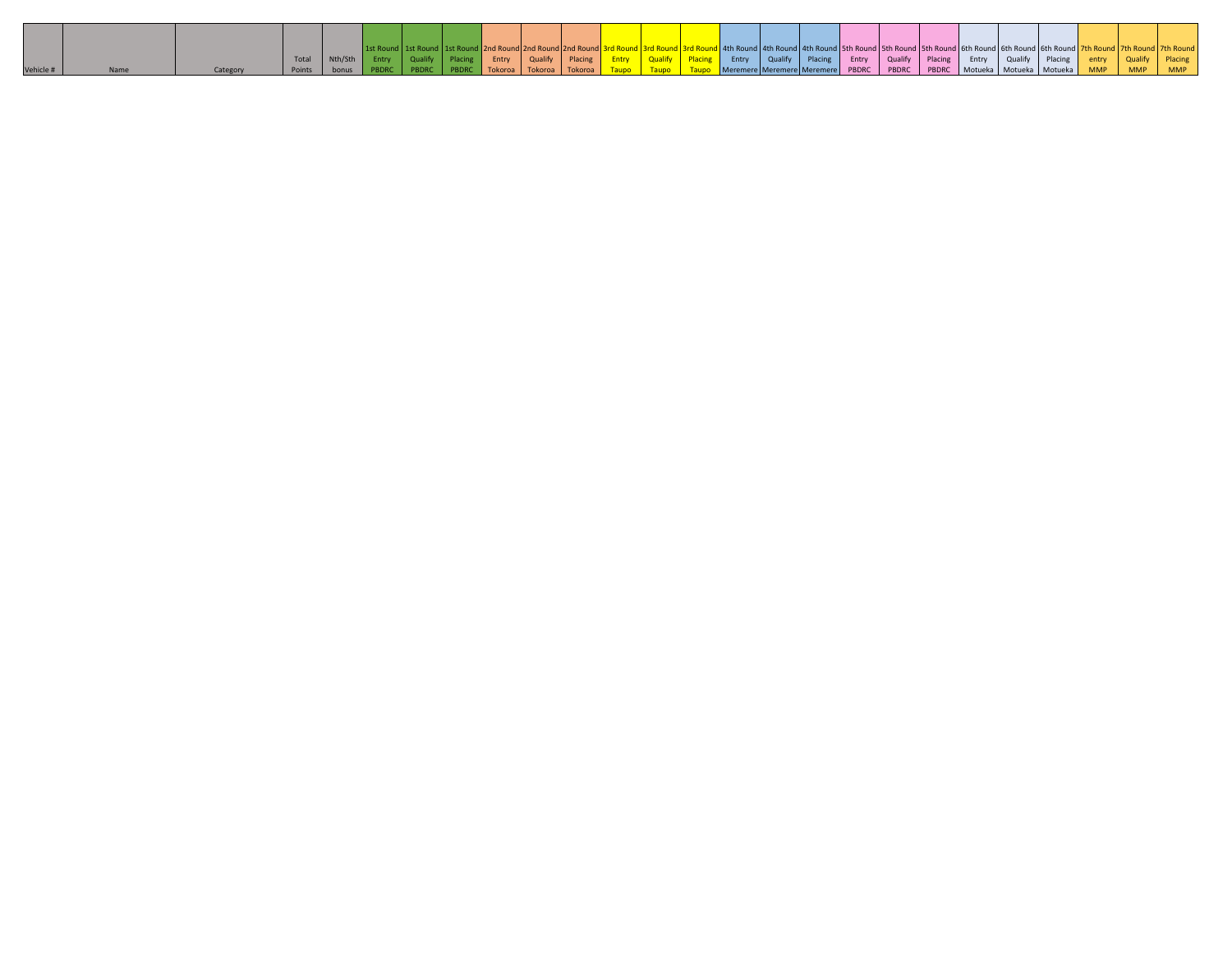|           |  | Total  | Nth/Sth | Entry | Qualify Placing |              | Entry Qualify |         | Placing |  | <b>Entry</b> Qualify Placing Entry Qualify Placing Entry Qualify Placing |  |  |  | Entry | Qualify | Placing                                                              | entry      |            | Placing    |
|-----------|--|--------|---------|-------|-----------------|--------------|---------------|---------|---------|--|--------------------------------------------------------------------------|--|--|--|-------|---------|----------------------------------------------------------------------|------------|------------|------------|
| Vehicle # |  | Points | bonus   |       | PBDRC           | <b>PBDRC</b> | Tokoroa       | Tokoroa | Tokoroa |  |                                                                          |  |  |  |       |         | Meremere Meremere Meremere PBDRC PBDRC PBDRC Motueka Motueka Motueka | <b>MMP</b> | <b>MMP</b> | <b>MMP</b> |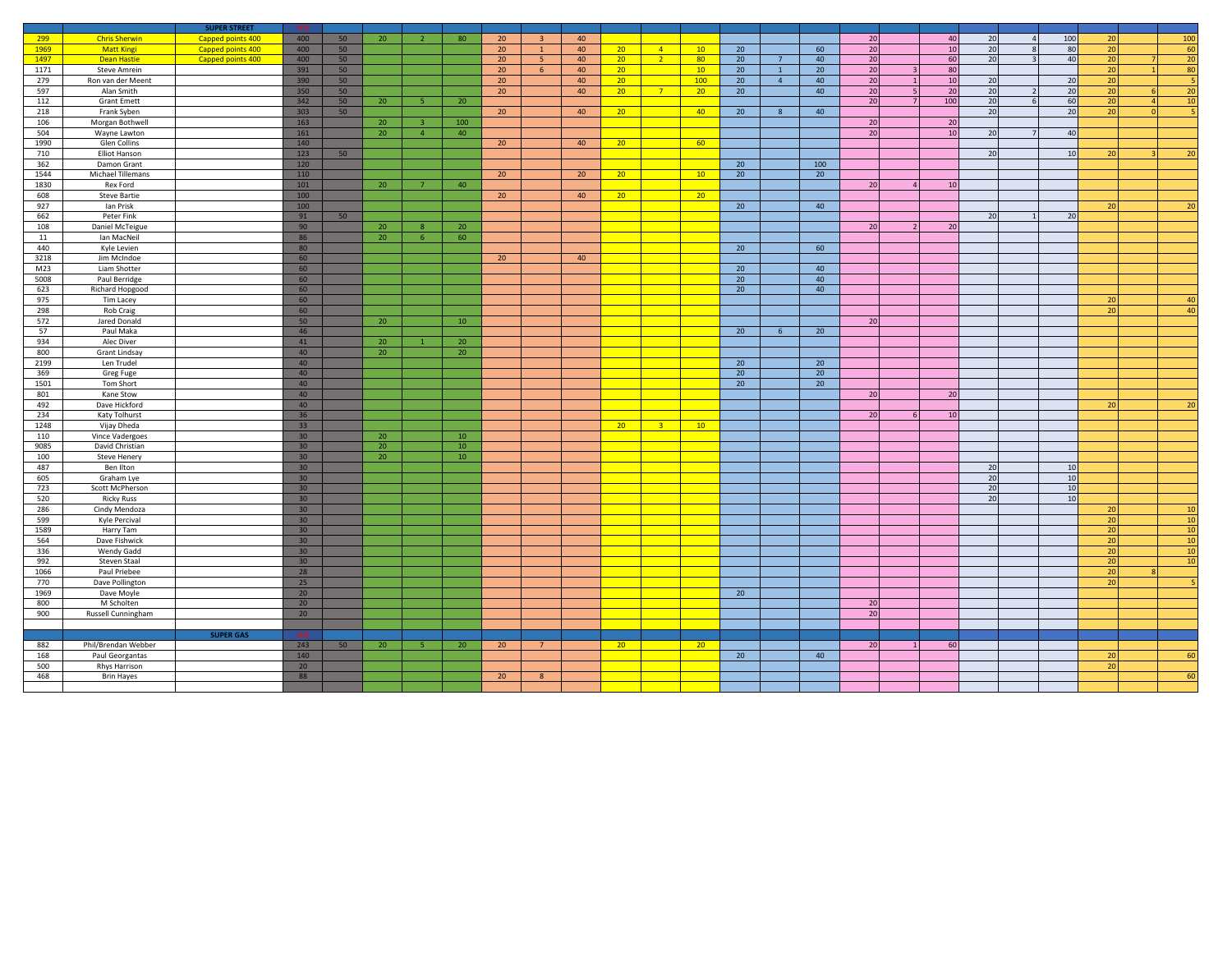|             |                                  | <b>SUPER STREET</b> |                       |    |                 |                |                 |                 |                |    |                 |                |                 |                 |                |     |                 |     |    |                         |     |                 |                 |
|-------------|----------------------------------|---------------------|-----------------------|----|-----------------|----------------|-----------------|-----------------|----------------|----|-----------------|----------------|-----------------|-----------------|----------------|-----|-----------------|-----|----|-------------------------|-----|-----------------|-----------------|
| 299         | <b>Chris Sherwin</b>             | Capped points 400   | 400                   | 50 | 20              | $\overline{2}$ | 80              | 20 <sup>°</sup> | 3 <sup>1</sup> | 40 |                 |                |                 |                 |                |     | 20              | 40  | 20 | $\overline{4}$          | 100 | 20              | 100             |
| 1969        | <b>Matt Kingi</b>                | Capped points 400   | 400                   | 50 |                 |                |                 | 20 <sup>°</sup> | $\mathbf{1}$   | 40 | 20 <sub>2</sub> | $-4$           | 10              | 20              |                | 60  | 20              | 10  | 20 | 8                       | 80  | 20              | 60              |
| 1497        | <b>Dean Hastie</b>               | Capped points 400   | 400                   | 50 |                 |                |                 | 20 <sub>2</sub> | 5 <sub>1</sub> | 40 | 20 <sup>°</sup> | 2 <sup>7</sup> | 80              | 20              | $7^{\circ}$    | 40  | $20\,$          | 60  | 20 | $\overline{\mathbf{z}}$ | 40  | 20              | 20              |
| 1171        | <b>Steve Amrein</b>              |                     | 391                   | 50 |                 |                |                 | 20              | 6              | 40 | 20 <sup>2</sup> |                | 10              | 20              | $\mathbf{1}$   | 20  | 20              | 80  |    |                         |     | 20              | 80              |
| 279         | Ron van der Meent                |                     | 390                   | 50 |                 |                |                 | 20 <sub>2</sub> |                | 40 | 20 <sub>2</sub> |                | 100             | 20              | $\overline{4}$ | 40  | 20              | 10  | 20 |                         | 20  | 20              |                 |
| 597         | Alan Smith                       |                     | 350                   | 50 |                 |                |                 | 20 <sub>2</sub> |                | 40 | 20 <sub>2</sub> | 7 <sup>7</sup> | 20              | 20              |                | 40  | 20              | 20  | 20 | $\overline{z}$          | 20  | 20              | 20              |
| 112         | <b>Grant Emett</b>               |                     | 342                   | 50 | 20              | -5             | 20              |                 |                |    |                 |                |                 |                 |                |     | 20              | 100 | 20 | 6                       | 60  | 20              | 10 <sup>1</sup> |
| 218         | Frank Syben                      |                     | 303                   | 50 |                 |                |                 | 20 <sup>°</sup> |                | 40 | 20 <sup>°</sup> |                | 40              | 20 <sup>°</sup> | 8              | 40  |                 |     | 20 |                         | 20  | $\overline{20}$ |                 |
| 106         | Morgan Bothwell                  |                     | 163                   |    | 20              |                | 100             |                 |                |    |                 |                |                 |                 |                |     | 20              | 20  |    |                         |     |                 |                 |
| 504         | Wayne Lawton                     |                     | 161                   |    | 20              | $\overline{4}$ | 40              |                 |                |    |                 |                |                 |                 |                |     | $\overline{20}$ | 10  | 20 | $7\overline{ }$         | 40  |                 |                 |
| 1990        | Glen Collins                     |                     | 140                   |    |                 |                |                 | 20              |                | 40 | 20              |                | 60              |                 |                |     |                 |     |    |                         |     |                 |                 |
| 710         | Elliot Hanson                    |                     | 123                   | 50 |                 |                |                 |                 |                |    |                 |                |                 | 20              |                | 100 |                 |     | 20 |                         | 10  | 20              | 20              |
| 362<br>1544 | Damon Grant<br>Michael Tillemans |                     | 120<br>110            |    |                 |                |                 | 20              |                | 20 |                 |                | 10              | 20              |                | 20  |                 |     |    |                         |     |                 |                 |
| 1830        | Rex Ford                         |                     | 101                   |    | 20              |                | 40              |                 |                |    | 20              |                |                 |                 |                |     | 20              | 10  |    |                         |     |                 |                 |
| 608         | <b>Steve Bartie</b>              |                     | 100                   |    |                 |                |                 | 20              |                | 40 | $20-1$          |                | 20 <sup>2</sup> |                 |                |     |                 |     |    |                         |     |                 |                 |
| 927         | Ian Prisk                        |                     | 100                   |    |                 |                |                 |                 |                |    |                 |                |                 | 20              |                | 40  |                 |     |    |                         |     | 20              | 20              |
| 662         | Peter Fink                       |                     | 91                    | 50 |                 |                |                 |                 |                |    |                 |                |                 |                 |                |     |                 |     | 20 |                         | 20  |                 |                 |
| 108         | Daniel McTeigue                  |                     | 90                    |    | 20              | -8             | 20 <sub>2</sub> |                 |                |    |                 |                |                 |                 |                |     | 20              | 20  |    |                         |     |                 |                 |
| 11          | Ian MacNeil                      |                     | 86                    |    | 20              | -6             | 60              |                 |                |    |                 |                |                 |                 |                |     |                 |     |    |                         |     |                 |                 |
| 440         | Kyle Levien                      |                     | 80                    |    |                 |                |                 |                 |                |    |                 |                |                 | 20              |                | 60  |                 |     |    |                         |     |                 |                 |
| 3218        | Jim McIndoe                      |                     | 60                    |    |                 |                |                 | 20 <sup>°</sup> |                | 40 |                 |                |                 |                 |                |     |                 |     |    |                         |     |                 |                 |
| M23         | Liam Shotter                     |                     | 60                    |    |                 |                |                 |                 |                |    |                 |                |                 | 20              |                | 40  |                 |     |    |                         |     |                 |                 |
| 5008        | Paul Berridge                    |                     | 60                    |    |                 |                |                 |                 |                |    |                 |                |                 | 20              |                | 40  |                 |     |    |                         |     |                 |                 |
| 623         | Richard Hopgood                  |                     | 60                    |    |                 |                |                 |                 |                |    |                 |                |                 | 20              |                | 40  |                 |     |    |                         |     |                 |                 |
| 975         | Tim Lacey                        |                     | 60                    |    |                 |                |                 |                 |                |    |                 |                |                 |                 |                |     |                 |     |    |                         |     | 20              | 40              |
| 298         | Rob Craig                        |                     | 60                    |    |                 |                |                 |                 |                |    |                 |                |                 |                 |                |     |                 |     |    |                         |     | $\overline{20}$ | 40              |
| 572         | Jared Donald                     |                     | 50                    |    | 20 <sub>2</sub> |                | 10 <sup>°</sup> |                 |                |    |                 |                |                 |                 |                |     | 20              |     |    |                         |     |                 |                 |
| 57          | Paul Maka                        |                     | 46                    |    |                 |                |                 |                 |                |    |                 |                |                 | 20              | 6 <sup>5</sup> | 20  |                 |     |    |                         |     |                 |                 |
| 934         | Alec Diver                       |                     | 41                    |    | 20              |                | 20              |                 |                |    |                 |                |                 |                 |                |     |                 |     |    |                         |     |                 |                 |
| 800         | Grant Lindsay                    |                     | 40                    |    | 20              |                | 20              |                 |                |    |                 |                |                 |                 |                |     |                 |     |    |                         |     |                 |                 |
| 2199        | Len Trudel                       |                     | 40                    |    |                 |                |                 |                 |                |    |                 |                |                 | 20              |                | 20  |                 |     |    |                         |     |                 |                 |
| 369         | Greg Fuge                        |                     | 40                    |    |                 |                |                 |                 |                |    |                 |                |                 | 20              |                | 20  |                 |     |    |                         |     |                 |                 |
| 1501        | Tom Short                        |                     | 40                    |    |                 |                |                 |                 |                |    |                 |                |                 | 20              |                | 20  |                 |     |    |                         |     |                 |                 |
| 801         | Kane Stow                        |                     | 40                    |    |                 |                |                 |                 |                |    |                 |                |                 |                 |                |     | 20              | 20  |    |                         |     |                 |                 |
| 492<br>234  | Dave Hickford<br>Katy Tolhurst   |                     | 40<br>36              |    |                 |                |                 |                 |                |    |                 |                |                 |                 |                |     | 20              | 10  |    |                         |     | 20              | 20              |
| 1248        | Vijay Dheda                      |                     | 33                    |    |                 |                |                 |                 |                |    | 20 <sup>2</sup> | $\mathbf{R}$   | 10              |                 |                |     |                 |     |    |                         |     |                 |                 |
| 110         | Vince Vadergoes                  |                     | 30 <sub>2</sub>       |    | 20              |                | $10\,$          |                 |                |    |                 |                |                 |                 |                |     |                 |     |    |                         |     |                 |                 |
| 9085        | David Christian                  |                     | 30                    |    | $\overline{20}$ |                | 10              |                 |                |    |                 |                |                 |                 |                |     |                 |     |    |                         |     |                 |                 |
| 100         | Steve Henery                     |                     | 30 <sup>7</sup>       |    | 20              |                | 10 <sup>°</sup> |                 |                |    |                 |                |                 |                 |                |     |                 |     |    |                         |     |                 |                 |
| 487         | Ben Ilton                        |                     | 30 <sub>2</sub>       |    |                 |                |                 |                 |                |    |                 |                |                 |                 |                |     |                 |     | 20 |                         | 10  |                 |                 |
| 605         | Graham Lye                       |                     | 30 <sup>°</sup>       |    |                 |                |                 |                 |                |    |                 |                |                 |                 |                |     |                 |     | 20 |                         | 10  |                 |                 |
| 723         | Scott McPherson                  |                     | 30 <sup>°</sup>       |    |                 |                |                 |                 |                |    |                 |                |                 |                 |                |     |                 |     | 20 |                         | 10  |                 |                 |
| 520         | <b>Ricky Russ</b>                |                     | 30 <sup>°</sup>       |    |                 |                |                 |                 |                |    |                 |                |                 |                 |                |     |                 |     | 20 |                         | 10  |                 |                 |
| 286         | Cindy Mendoza                    |                     | 30 <sup>°</sup>       |    |                 |                |                 |                 |                |    |                 |                |                 |                 |                |     |                 |     |    |                         |     | 20              | 10 <sup>1</sup> |
| 599         | Kyle Percival                    |                     | 30 <sub>2</sub>       |    |                 |                |                 |                 |                |    |                 |                |                 |                 |                |     |                 |     |    |                         |     | 20              | 10              |
| 1589        | Harry Tam                        |                     | 30 <sup>°</sup>       |    |                 |                |                 |                 |                |    |                 |                |                 |                 |                |     |                 |     |    |                         |     | 20              | 10 <sup>1</sup> |
| 564         | Dave Fishwick                    |                     | 30                    |    |                 |                |                 |                 |                |    |                 |                |                 |                 |                |     |                 |     |    |                         |     | 20              | 10 <sup>1</sup> |
| 336         | Wendy Gadd                       |                     | 30 <sub>o</sub>       |    |                 |                |                 |                 |                |    |                 |                |                 |                 |                |     |                 |     |    |                         |     | 20              | 10              |
| 992         | Steven Staal                     |                     | 30 <sup>°</sup>       |    |                 |                |                 |                 |                |    |                 |                |                 |                 |                |     |                 |     |    |                         |     | 20              | 10 <sup>1</sup> |
| 1066        | Paul Priebee                     |                     | 28                    |    |                 |                |                 |                 |                |    |                 |                |                 |                 |                |     |                 |     |    |                         |     | 20              |                 |
| 770         | Dave Pollington                  |                     | 25                    |    |                 |                |                 |                 |                |    |                 |                |                 |                 |                |     |                 |     |    |                         |     | 20              |                 |
| 1969        | Dave Moyle                       |                     | 20                    |    |                 |                |                 |                 |                |    |                 |                |                 | 20              |                |     |                 |     |    |                         |     |                 |                 |
| 800<br>900  | M Scholten                       |                     | 20 <sub>2</sub><br>20 |    |                 |                |                 |                 |                |    |                 |                |                 |                 |                |     | 20<br>20        |     |    |                         |     |                 |                 |
|             | Russell Cunningham               |                     |                       |    |                 |                |                 |                 |                |    |                 |                |                 |                 |                |     |                 |     |    |                         |     |                 |                 |
|             |                                  | <b>SUPER GAS</b>    | 400                   |    |                 |                |                 |                 |                |    |                 |                |                 |                 |                |     |                 |     |    |                         |     |                 |                 |
| 882         | Phil/Brendan Webber              |                     | 243                   | 50 | 20              | -5 -           | 20              | 20              | $7^{\circ}$    |    | 20 <sub>2</sub> |                | 20 <sup>2</sup> |                 |                |     | 20              | 60  |    |                         |     |                 |                 |
| 168         | Paul Georgantas                  |                     | 140                   |    |                 |                |                 |                 |                |    |                 |                |                 | 20              |                | 40  |                 |     |    |                         |     | 20              | 60              |
| 500         | Rhys Harrison                    |                     | 20                    |    |                 |                |                 |                 |                |    |                 |                |                 |                 |                |     |                 |     |    |                         |     | 20              |                 |
| 468         | <b>Brin Hayes</b>                |                     | 88                    |    |                 |                |                 | 20 <sup>°</sup> | 8              |    |                 |                |                 |                 |                |     |                 |     |    |                         |     |                 | 60              |
|             |                                  |                     |                       |    |                 |                |                 |                 |                |    |                 |                |                 |                 |                |     |                 |     |    |                         |     |                 |                 |
|             |                                  |                     |                       |    |                 |                |                 |                 |                |    |                 |                |                 |                 |                |     |                 |     |    |                         |     |                 |                 |